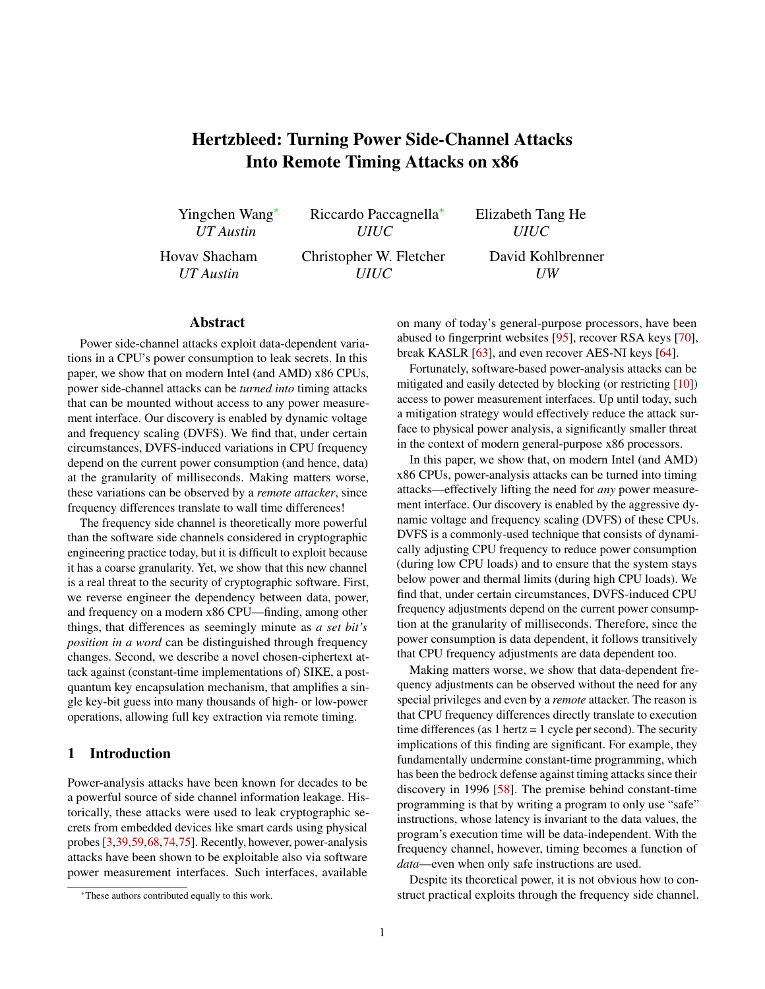# Hertzbleed: Turning Power Side-Channel Attacks Into Remote Timing Attacks on x86

Yingchen Wang<sup>∗</sup> *UT Austin*

Riccardo Paccagnella<sup>∗</sup> *UIUC*

Hovav Shacham *UT Austin*

Christopher W. Fletcher *UIUC*

Elizabeth Tang He *UIUC* David Kohlbrenner

### Abstract

Power side-channel attacks exploit data-dependent variations in a CPU's power consumption to leak secrets. In this paper, we show that on modern Intel (and AMD) x86 CPUs, power side-channel attacks can be *turned into* timing attacks that can be mounted without access to any power measurement interface. Our discovery is enabled by dynamic voltage and frequency scaling (DVFS). We find that, under certain circumstances, DVFS-induced variations in CPU frequency depend on the current power consumption (and hence, data) at the granularity of milliseconds. Making matters worse, these variations can be observed by a *remote attacker*, since frequency differences translate to wall time differences!

The frequency side channel is theoretically more powerful than the software side channels considered in cryptographic engineering practice today, but it is difficult to exploit because it has a coarse granularity. Yet, we show that this new channel is a real threat to the security of cryptographic software. First, we reverse engineer the dependency between data, power, and frequency on a modern x86 CPU—finding, among other things, that differences as seemingly minute as *a set bit's position in a word* can be distinguished through frequency changes. Second, we describe a novel chosen-ciphertext attack against (constant-time implementations of) SIKE, a postquantum key encapsulation mechanism, that amplifies a single key-bit guess into many thousands of high- or low-power operations, allowing full key extraction via remote timing.

# <span id="page-0-0"></span>1 Introduction

Power-analysis attacks have been known for decades to be a powerful source of side channel information leakage. Historically, these attacks were used to leak cryptographic secrets from embedded devices like smart cards using physical probes [\[3,](#page-13-0)[39,](#page-14-0)[59,](#page-14-1)[68,](#page-15-0)[74](#page-15-1)[,75\]](#page-15-2). Recently, however, power-analysis attacks have been shown to be exploitable also via software power measurement interfaces. Such interfaces, available

on many of today's general-purpose processors, have been abused to fingerprint websites [\[95\]](#page-15-3), recover RSA keys [\[70\]](#page-15-4), break KASLR [\[63\]](#page-14-2), and even recover AES-NI keys [\[64\]](#page-15-5).

*UW*

Fortunately, software-based power-analysis attacks can be mitigated and easily detected by blocking (or restricting [\[10\]](#page-13-1)) access to power measurement interfaces. Up until today, such a mitigation strategy would effectively reduce the attack surface to physical power analysis, a significantly smaller threat in the context of modern general-purpose x86 processors.

In this paper, we show that, on modern Intel (and AMD) x86 CPUs, power-analysis attacks can be turned into timing attacks—effectively lifting the need for *any* power measurement interface. Our discovery is enabled by the aggressive dynamic voltage and frequency scaling (DVFS) of these CPUs. DVFS is a commonly-used technique that consists of dynamically adjusting CPU frequency to reduce power consumption (during low CPU loads) and to ensure that the system stays below power and thermal limits (during high CPU loads). We find that, under certain circumstances, DVFS-induced CPU frequency adjustments depend on the current power consumption at the granularity of milliseconds. Therefore, since the power consumption is data dependent, it follows transitively that CPU frequency adjustments are data dependent too.

Making matters worse, we show that data-dependent frequency adjustments can be observed without the need for any special privileges and even by a *remote* attacker. The reason is that CPU frequency differences directly translate to execution time differences (as  $1$  hertz =  $1$  cycle per second). The security implications of this finding are significant. For example, they fundamentally undermine constant-time programming, which has been the bedrock defense against timing attacks since their discovery in 1996 [\[58\]](#page-14-3). The premise behind constant-time programming is that by writing a program to only use "safe" instructions, whose latency is invariant to the data values, the program's execution time will be data-independent. With the frequency channel, however, timing becomes a function of *data*—even when only safe instructions are used.

Despite its theoretical power, it is not obvious how to construct practical exploits through the frequency side channel.

<sup>∗</sup>These authors contributed equally to this work.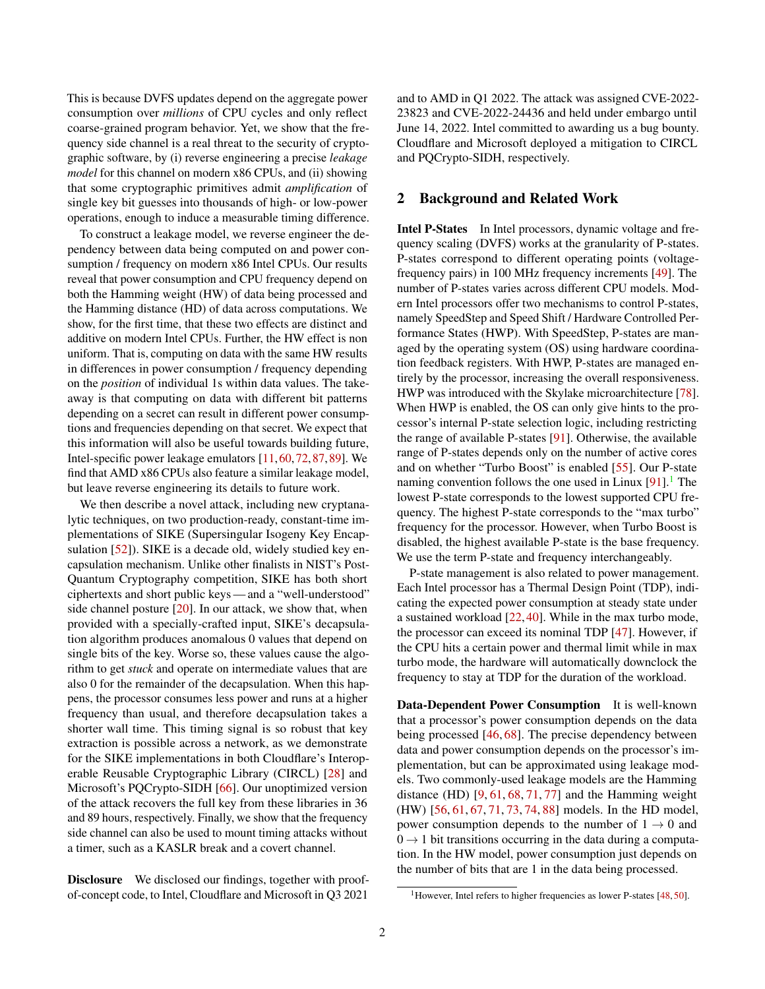This is because DVFS updates depend on the aggregate power consumption over *millions* of CPU cycles and only reflect coarse-grained program behavior. Yet, we show that the frequency side channel is a real threat to the security of cryptographic software, by (i) reverse engineering a precise *leakage model* for this channel on modern x86 CPUs, and (ii) showing that some cryptographic primitives admit *amplification* of single key bit guesses into thousands of high- or low-power operations, enough to induce a measurable timing difference.

To construct a leakage model, we reverse engineer the dependency between data being computed on and power consumption / frequency on modern x86 Intel CPUs. Our results reveal that power consumption and CPU frequency depend on both the Hamming weight (HW) of data being processed and the Hamming distance (HD) of data across computations. We show, for the first time, that these two effects are distinct and additive on modern Intel CPUs. Further, the HW effect is non uniform. That is, computing on data with the same HW results in differences in power consumption / frequency depending on the *position* of individual 1s within data values. The takeaway is that computing on data with different bit patterns depending on a secret can result in different power consumptions and frequencies depending on that secret. We expect that this information will also be useful towards building future, Intel-specific power leakage emulators [\[11,](#page-13-2)[60,](#page-14-4)[72,](#page-15-6)[87,](#page-15-7)[89\]](#page-15-8). We find that AMD x86 CPUs also feature a similar leakage model, but leave reverse engineering its details to future work.

We then describe a novel attack, including new cryptanalytic techniques, on two production-ready, constant-time implementations of SIKE (Supersingular Isogeny Key Encap-sulation [\[52\]](#page-14-5)). SIKE is a decade old, widely studied key encapsulation mechanism. Unlike other finalists in NIST's Post-Quantum Cryptography competition, SIKE has both short ciphertexts and short public keys — and a "well-understood" side channel posture  $[20]$ . In our attack, we show that, when provided with a specially-crafted input, SIKE's decapsulation algorithm produces anomalous 0 values that depend on single bits of the key. Worse so, these values cause the algorithm to get *stuck* and operate on intermediate values that are also 0 for the remainder of the decapsulation. When this happens, the processor consumes less power and runs at a higher frequency than usual, and therefore decapsulation takes a shorter wall time. This timing signal is so robust that key extraction is possible across a network, as we demonstrate for the SIKE implementations in both Cloudflare's Interoperable Reusable Cryptographic Library (CIRCL) [\[28\]](#page-14-6) and Microsoft's PQCrypto-SIDH [\[66\]](#page-15-9). Our unoptimized version of the attack recovers the full key from these libraries in 36 and 89 hours, respectively. Finally, we show that the frequency side channel can also be used to mount timing attacks without a timer, such as a KASLR break and a covert channel.

Disclosure We disclosed our findings, together with proofof-concept code, to Intel, Cloudflare and Microsoft in Q3 2021

and to AMD in Q1 2022. The attack was assigned CVE-2022- 23823 and CVE-2022-24436 and held under embargo until June 14, 2022. Intel committed to awarding us a bug bounty. Cloudflare and Microsoft deployed a mitigation to CIRCL and PQCrypto-SIDH, respectively.

# 2 Background and Related Work

Intel P-States In Intel processors, dynamic voltage and frequency scaling (DVFS) works at the granularity of P-states. P-states correspond to different operating points (voltagefrequency pairs) in 100 MHz frequency increments [\[49\]](#page-14-7). The number of P-states varies across different CPU models. Modern Intel processors offer two mechanisms to control P-states, namely SpeedStep and Speed Shift / Hardware Controlled Performance States (HWP). With SpeedStep, P-states are managed by the operating system (OS) using hardware coordination feedback registers. With HWP, P-states are managed entirely by the processor, increasing the overall responsiveness. HWP was introduced with the Skylake microarchitecture [\[78\]](#page-15-10). When HWP is enabled, the OS can only give hints to the processor's internal P-state selection logic, including restricting the range of available P-states [\[91\]](#page-15-11). Otherwise, the available range of P-states depends only on the number of active cores and on whether "Turbo Boost" is enabled [\[55\]](#page-14-8). Our P-state naming convention follows the one used in Linux  $[91]$ .<sup>[1](#page-1-0)</sup> The lowest P-state corresponds to the lowest supported CPU frequency. The highest P-state corresponds to the "max turbo" frequency for the processor. However, when Turbo Boost is disabled, the highest available P-state is the base frequency. We use the term P-state and frequency interchangeably.

P-state management is also related to power management. Each Intel processor has a Thermal Design Point (TDP), indicating the expected power consumption at steady state under a sustained workload [\[22,](#page-14-9) [40\]](#page-14-10). While in the max turbo mode, the processor can exceed its nominal TDP [\[47\]](#page-14-11). However, if the CPU hits a certain power and thermal limit while in max turbo mode, the hardware will automatically downclock the frequency to stay at TDP for the duration of the workload.

Data-Dependent Power Consumption It is well-known that a processor's power consumption depends on the data being processed [\[46,](#page-14-12) [68\]](#page-15-0). The precise dependency between data and power consumption depends on the processor's implementation, but can be approximated using leakage models. Two commonly-used leakage models are the Hamming distance (HD)  $[9, 61, 68, 71, 77]$  $[9, 61, 68, 71, 77]$  $[9, 61, 68, 71, 77]$  $[9, 61, 68, 71, 77]$  $[9, 61, 68, 71, 77]$  $[9, 61, 68, 71, 77]$  $[9, 61, 68, 71, 77]$  $[9, 61, 68, 71, 77]$  $[9, 61, 68, 71, 77]$  and the Hamming weight (HW) [\[56,](#page-14-14) [61,](#page-14-13) [67,](#page-15-14) [71,](#page-15-12) [73,](#page-15-15) [74,](#page-15-1) [88\]](#page-15-16) models. In the HD model, power consumption depends to the number of  $1 \rightarrow 0$  and  $0 \rightarrow 1$  bit transitions occurring in the data during a computation. In the HW model, power consumption just depends on the number of bits that are 1 in the data being processed.

<span id="page-1-0"></span><sup>&</sup>lt;sup>1</sup>However, Intel refers to higher frequencies as lower P-states [\[48,](#page-14-15) [50\]](#page-14-16).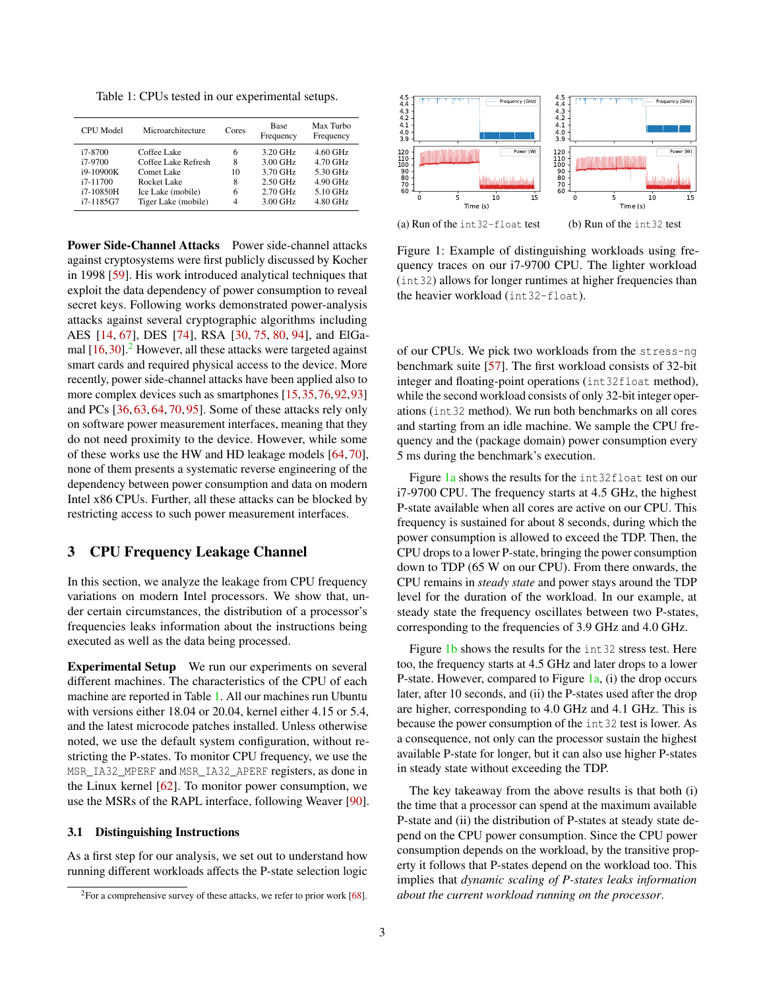<span id="page-2-1"></span>Table 1: CPUs tested in our experimental setups.

| CPU Model  | Microarchitecture   | Cores | <b>Base</b><br>Frequency | Max Turbo<br>Frequency |
|------------|---------------------|-------|--------------------------|------------------------|
| i7-8700    | Coffee Lake         | 6     | 3.20 GHz                 | $4.60$ GHz             |
| i7-9700    | Coffee Lake Refresh | 8     | 3.00 GHz                 | 4.70 GHz               |
| i9-10900K  | Comet Lake          | 10    | 3.70 GHz                 | 5.30 GHz               |
| $i7-11700$ | Rocket Lake         | 8     | $2.50$ GHz               | 4.90 GHz               |
| i7-10850H  | Ice Lake (mobile)   | 6     | $2.70$ GHz               | 5.10 GHz               |
| i7-1185G7  | Tiger Lake (mobile) | 4     | 3.00 GHz                 | 4.80 GHz               |

Power Side-Channel Attacks Power side-channel attacks against cryptosystems were first publicly discussed by Kocher in 1998 [\[59\]](#page-14-1). His work introduced analytical techniques that exploit the data dependency of power consumption to reveal secret keys. Following works demonstrated power-analysis attacks against several cryptographic algorithms including AES [\[14,](#page-13-5) [67\]](#page-15-14), DES [\[74\]](#page-15-1), RSA [\[30,](#page-14-17) [75,](#page-15-2) [80,](#page-15-17) [94\]](#page-15-18), and ElGamal  $[16,30]$  $[16,30]$ .<sup>[2](#page-2-0)</sup> However, all these attacks were targeted against smart cards and required physical access to the device. More recently, power side-channel attacks have been applied also to more complex devices such as smartphones [\[15,](#page-13-7)[35,](#page-14-18)[76,](#page-15-19)[92,](#page-15-20)[93\]](#page-15-21) and PCs [\[36,](#page-14-19) [63,](#page-14-2) [64,](#page-15-5) [70,](#page-15-4) [95\]](#page-15-3). Some of these attacks rely only on software power measurement interfaces, meaning that they do not need proximity to the device. However, while some of these works use the HW and HD leakage models [\[64,](#page-15-5) [70\]](#page-15-4), none of them presents a systematic reverse engineering of the dependency between power consumption and data on modern Intel x86 CPUs. Further, all these attacks can be blocked by restricting access to such power measurement interfaces.

# <span id="page-2-3"></span>3 CPU Frequency Leakage Channel

In this section, we analyze the leakage from CPU frequency variations on modern Intel processors. We show that, under certain circumstances, the distribution of a processor's frequencies leaks information about the instructions being executed as well as the data being processed.

Experimental Setup We run our experiments on several different machines. The characteristics of the CPU of each machine are reported in Table [1.](#page-2-1) All our machines run Ubuntu with versions either 18.04 or 20.04, kernel either 4.15 or 5.4, and the latest microcode patches installed. Unless otherwise noted, we use the default system configuration, without restricting the P-states. To monitor CPU frequency, we use the MSR\_IA32\_MPERF and MSR\_IA32\_APERF registers, as done in the Linux kernel [\[62\]](#page-14-20). To monitor power consumption, we use the MSRs of the RAPL interface, following Weaver [\[90\]](#page-15-22).

#### 3.1 Distinguishing Instructions

As a first step for our analysis, we set out to understand how running different workloads affects the P-state selection logic

<span id="page-2-2"></span>

Figure 1: Example of distinguishing workloads using frequency traces on our i7-9700 CPU. The lighter workload (int32) allows for longer runtimes at higher frequencies than the heavier workload (int32-float).

of our CPUs. We pick two workloads from the stress-ng benchmark suite [\[57\]](#page-14-21). The first workload consists of 32-bit integer and floating-point operations (int32float method), while the second workload consists of only 32-bit integer operations (int32 method). We run both benchmarks on all cores and starting from an idle machine. We sample the CPU frequency and the (package domain) power consumption every 5 ms during the benchmark's execution.

Figure [1a](#page-2-2) shows the results for the int32float test on our i7-9700 CPU. The frequency starts at 4.5 GHz, the highest P-state available when all cores are active on our CPU. This frequency is sustained for about 8 seconds, during which the power consumption is allowed to exceed the TDP. Then, the CPU drops to a lower P-state, bringing the power consumption down to TDP (65 W on our CPU). From there onwards, the CPU remains in *steady state* and power stays around the TDP level for the duration of the workload. In our example, at steady state the frequency oscillates between two P-states, corresponding to the frequencies of 3.9 GHz and 4.0 GHz.

Figure [1b](#page-2-2) shows the results for the int32 stress test. Here too, the frequency starts at 4.5 GHz and later drops to a lower P-state. However, compared to Figure [1a,](#page-2-2) (i) the drop occurs later, after 10 seconds, and (ii) the P-states used after the drop are higher, corresponding to 4.0 GHz and 4.1 GHz. This is because the power consumption of the int32 test is lower. As a consequence, not only can the processor sustain the highest available P-state for longer, but it can also use higher P-states in steady state without exceeding the TDP.

The key takeaway from the above results is that both (i) the time that a processor can spend at the maximum available P-state and (ii) the distribution of P-states at steady state depend on the CPU power consumption. Since the CPU power consumption depends on the workload, by the transitive property it follows that P-states depend on the workload too. This implies that *dynamic scaling of P-states leaks information about the current workload running on the processor*.

<span id="page-2-0"></span> $2$ For a comprehensive survey of these attacks, we refer to prior work [\[68\]](#page-15-0).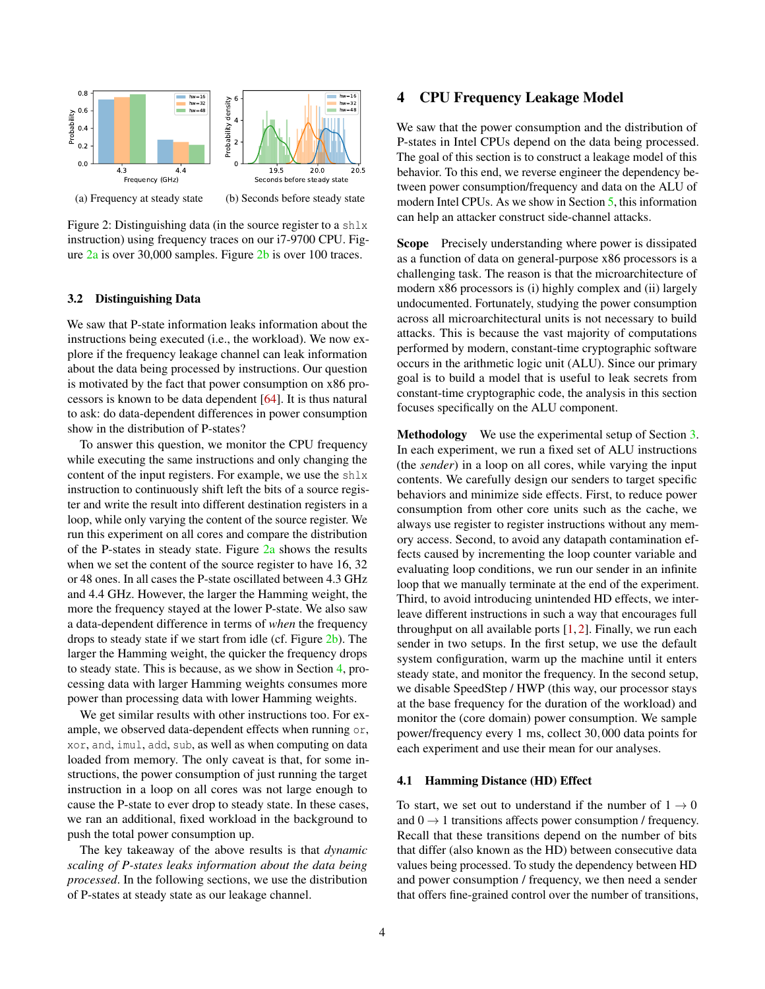<span id="page-3-0"></span>

Figure 2: Distinguishing data (in the source register to a shlx instruction) using frequency traces on our i7-9700 CPU. Figure [2a](#page-3-0) is over 30,000 samples. Figure [2b](#page-3-0) is over 100 traces.

#### 3.2 Distinguishing Data

We saw that P-state information leaks information about the instructions being executed (i.e., the workload). We now explore if the frequency leakage channel can leak information about the data being processed by instructions. Our question is motivated by the fact that power consumption on x86 processors is known to be data dependent [\[64\]](#page-15-5). It is thus natural to ask: do data-dependent differences in power consumption show in the distribution of P-states?

To answer this question, we monitor the CPU frequency while executing the same instructions and only changing the content of the input registers. For example, we use the shlx instruction to continuously shift left the bits of a source register and write the result into different destination registers in a loop, while only varying the content of the source register. We run this experiment on all cores and compare the distribution of the P-states in steady state. Figure [2a](#page-3-0) shows the results when we set the content of the source register to have 16, 32 or 48 ones. In all cases the P-state oscillated between 4.3 GHz and 4.4 GHz. However, the larger the Hamming weight, the more the frequency stayed at the lower P-state. We also saw a data-dependent difference in terms of *when* the frequency drops to steady state if we start from idle (cf. Figure [2b\)](#page-3-0). The larger the Hamming weight, the quicker the frequency drops to steady state. This is because, as we show in Section [4,](#page-3-1) processing data with larger Hamming weights consumes more power than processing data with lower Hamming weights.

We get similar results with other instructions too. For example, we observed data-dependent effects when running or, xor, and, imul, add, sub, as well as when computing on data loaded from memory. The only caveat is that, for some instructions, the power consumption of just running the target instruction in a loop on all cores was not large enough to cause the P-state to ever drop to steady state. In these cases, we ran an additional, fixed workload in the background to push the total power consumption up.

The key takeaway of the above results is that *dynamic scaling of P-states leaks information about the data being processed*. In the following sections, we use the distribution of P-states at steady state as our leakage channel.

# <span id="page-3-1"></span>4 CPU Frequency Leakage Model

We saw that the power consumption and the distribution of P-states in Intel CPUs depend on the data being processed. The goal of this section is to construct a leakage model of this behavior. To this end, we reverse engineer the dependency between power consumption/frequency and data on the ALU of modern Intel CPUs. As we show in Section [5,](#page-6-0) this information can help an attacker construct side-channel attacks.

Scope Precisely understanding where power is dissipated as a function of data on general-purpose x86 processors is a challenging task. The reason is that the microarchitecture of modern x86 processors is (i) highly complex and (ii) largely undocumented. Fortunately, studying the power consumption across all microarchitectural units is not necessary to build attacks. This is because the vast majority of computations performed by modern, constant-time cryptographic software occurs in the arithmetic logic unit (ALU). Since our primary goal is to build a model that is useful to leak secrets from constant-time cryptographic code, the analysis in this section focuses specifically on the ALU component.

Methodology We use the experimental setup of Section [3.](#page-2-3) In each experiment, we run a fixed set of ALU instructions (the *sender*) in a loop on all cores, while varying the input contents. We carefully design our senders to target specific behaviors and minimize side effects. First, to reduce power consumption from other core units such as the cache, we always use register to register instructions without any memory access. Second, to avoid any datapath contamination effects caused by incrementing the loop counter variable and evaluating loop conditions, we run our sender in an infinite loop that we manually terminate at the end of the experiment. Third, to avoid introducing unintended HD effects, we interleave different instructions in such a way that encourages full throughput on all available ports  $[1, 2]$  $[1, 2]$  $[1, 2]$ . Finally, we run each sender in two setups. In the first setup, we use the default system configuration, warm up the machine until it enters steady state, and monitor the frequency. In the second setup, we disable SpeedStep / HWP (this way, our processor stays at the base frequency for the duration of the workload) and monitor the (core domain) power consumption. We sample power/frequency every 1 ms, collect 30,000 data points for each experiment and use their mean for our analyses.

#### <span id="page-3-2"></span>4.1 Hamming Distance (HD) Effect

To start, we set out to understand if the number of  $1 \rightarrow 0$ and  $0 \rightarrow 1$  transitions affects power consumption / frequency. Recall that these transitions depend on the number of bits that differ (also known as the HD) between consecutive data values being processed. To study the dependency between HD and power consumption / frequency, we then need a sender that offers fine-grained control over the number of transitions,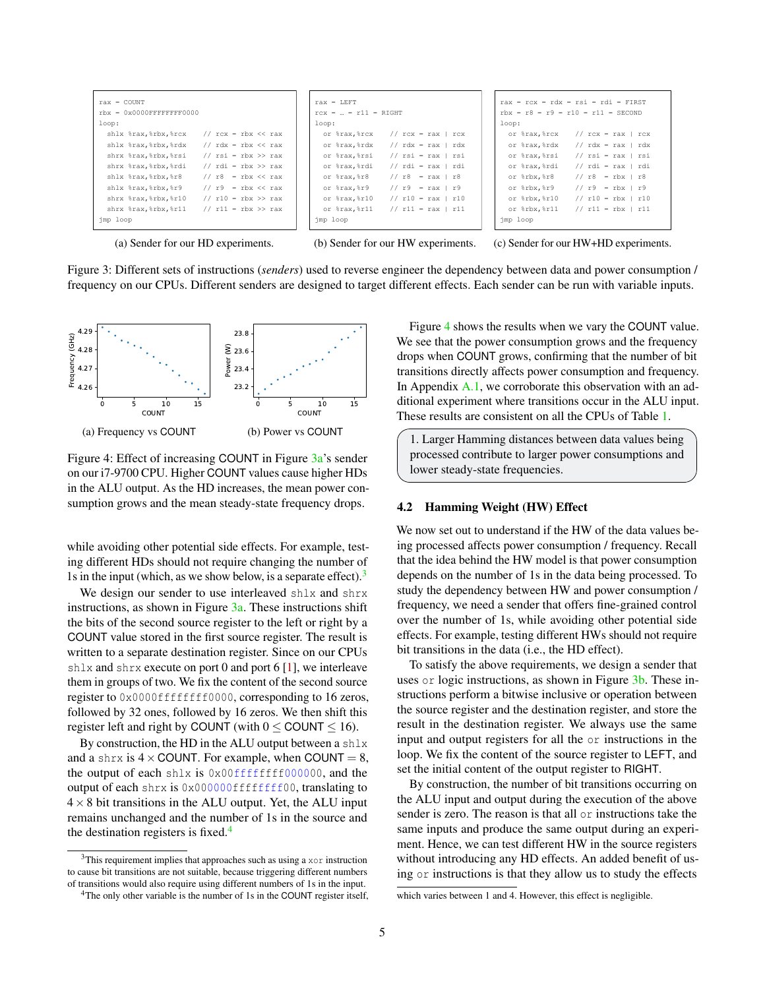<span id="page-4-0"></span>

(a) Sender for our HD experiments.

(b) Sender for our HW experiments.

(c) Sender for our HW+HD experiments.

Figure 3: Different sets of instructions (*senders*) used to reverse engineer the dependency between data and power consumption / frequency on our CPUs. Different senders are designed to target different effects. Each sender can be run with variable inputs.

<span id="page-4-3"></span>

Figure 4: Effect of increasing COUNT in Figure [3a'](#page-4-0)s sender on our i7-9700 CPU. Higher COUNT values cause higher HDs in the ALU output. As the HD increases, the mean power consumption grows and the mean steady-state frequency drops.

while avoiding other potential side effects. For example, testing different HDs should not require changing the number of 1s in the input (which, as we show below, is a separate effect). $3$ 

We design our sender to use interleaved shlx and shrx instructions, as shown in Figure  $3a$ . These instructions shift the bits of the second source register to the left or right by a COUNT value stored in the first source register. The result is written to a separate destination register. Since on our CPUs shlx and shrx execute on port 0 and port  $6 \, 1$ , we interleave them in groups of two. We fix the content of the second source register to  $0x0000fffffff0000$ , corresponding to 16 zeros, followed by 32 ones, followed by 16 zeros. We then shift this register left and right by COUNT (with  $0 \leq$  COUNT  $\leq$  16).

By construction, the HD in the ALU output between a shlx and a shrx is  $4 \times$  COUNT. For example, when COUNT = 8, the output of each shlx is  $0 \times 00$  ffffffff000000, and the output of each shrx is 0x000000ffffffff00, translating to  $4 \times 8$  bit transitions in the ALU output. Yet, the ALU input remains unchanged and the number of 1s in the source and the destination registers is fixed. $4$ 

Figure [4](#page-4-3) shows the results when we vary the COUNT value. We see that the power consumption grows and the frequency drops when COUNT grows, confirming that the number of bit transitions directly affects power consumption and frequency. In Appendix  $A.1$ , we corroborate this observation with an additional experiment where transitions occur in the ALU input. These results are consistent on all the CPUs of Table [1.](#page-2-1)

1. Larger Hamming distances between data values being processed contribute to larger power consumptions and lower steady-state frequencies.

#### <span id="page-4-4"></span>4.2 Hamming Weight (HW) Effect

We now set out to understand if the HW of the data values being processed affects power consumption / frequency. Recall that the idea behind the HW model is that power consumption depends on the number of 1s in the data being processed. To study the dependency between HW and power consumption / frequency, we need a sender that offers fine-grained control over the number of 1s, while avoiding other potential side effects. For example, testing different HWs should not require bit transitions in the data (i.e., the HD effect).

To satisfy the above requirements, we design a sender that uses or logic instructions, as shown in Figure [3b.](#page-4-0) These instructions perform a bitwise inclusive or operation between the source register and the destination register, and store the result in the destination register. We always use the same input and output registers for all the or instructions in the loop. We fix the content of the source register to LEFT, and set the initial content of the output register to RIGHT.

By construction, the number of bit transitions occurring on the ALU input and output during the execution of the above sender is zero. The reason is that all or instructions take the same inputs and produce the same output during an experiment. Hence, we can test different HW in the source registers without introducing any HD effects. An added benefit of using or instructions is that they allow us to study the effects

<span id="page-4-1"></span><sup>3</sup>This requirement implies that approaches such as using a xor instruction to cause bit transitions are not suitable, because triggering different numbers of transitions would also require using different numbers of 1s in the input.

<span id="page-4-2"></span><sup>&</sup>lt;sup>4</sup>The only other variable is the number of 1s in the COUNT register itself,

which varies between 1 and 4. However, this effect is negligible.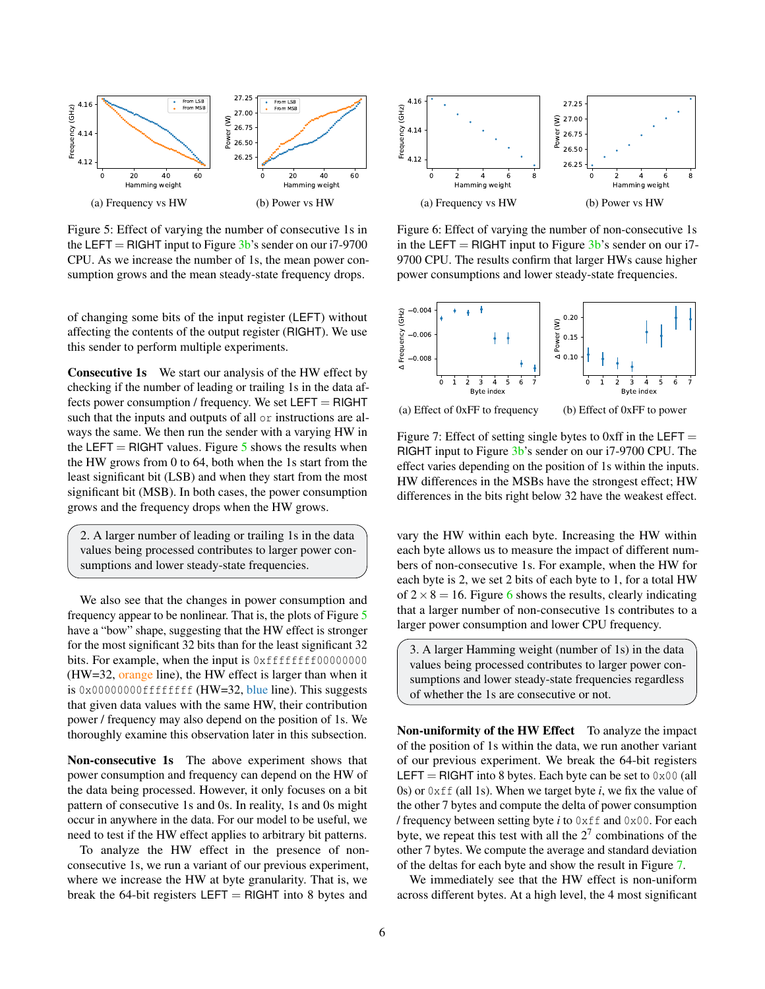<span id="page-5-0"></span>

Figure 5: Effect of varying the number of consecutive 1s in the LEFT = RIGHT input to Figure  $3b$ 's sender on our i7-9700 CPU. As we increase the number of 1s, the mean power consumption grows and the mean steady-state frequency drops.

of changing some bits of the input register (LEFT) without affecting the contents of the output register (RIGHT). We use this sender to perform multiple experiments.

Consecutive 1s We start our analysis of the HW effect by checking if the number of leading or trailing 1s in the data affects power consumption / frequency. We set  $LEFT = RIGHT$ such that the inputs and outputs of all or instructions are always the same. We then run the sender with a varying HW in the LEFT = RIGHT values. Figure  $5$  shows the results when the HW grows from 0 to 64, both when the 1s start from the least significant bit (LSB) and when they start from the most significant bit (MSB). In both cases, the power consumption grows and the frequency drops when the HW grows.

2. A larger number of leading or trailing 1s in the data values being processed contributes to larger power consumptions and lower steady-state frequencies.

We also see that the changes in power consumption and frequency appear to be nonlinear. That is, the plots of Figure [5](#page-5-0) have a "bow" shape, suggesting that the HW effect is stronger for the most significant 32 bits than for the least significant 32 bits. For example, when the input is 0xffffffff000000000 (HW=32, orange line), the HW effect is larger than when it is  $0 \times 00000000$ fffffffff (HW=32, blue line). This suggests that given data values with the same HW, their contribution power / frequency may also depend on the position of 1s. We thoroughly examine this observation later in this subsection.

Non-consecutive 1s The above experiment shows that power consumption and frequency can depend on the HW of the data being processed. However, it only focuses on a bit pattern of consecutive 1s and 0s. In reality, 1s and 0s might occur in anywhere in the data. For our model to be useful, we need to test if the HW effect applies to arbitrary bit patterns.

To analyze the HW effect in the presence of nonconsecutive 1s, we run a variant of our previous experiment, where we increase the HW at byte granularity. That is, we break the 64-bit registers  $LEFT = RIGHT$  into 8 bytes and

<span id="page-5-1"></span>

Figure 6: Effect of varying the number of non-consecutive 1s in the LEFT = RIGHT input to Figure  $3b$ 's sender on our i7-9700 CPU. The results confirm that larger HWs cause higher power consumptions and lower steady-state frequencies.

<span id="page-5-2"></span>

Figure 7: Effect of setting single bytes to 0xff in the LEFT  $=$ RIGHT input to Figure [3b'](#page-4-0)s sender on our i7-9700 CPU. The effect varies depending on the position of 1s within the inputs. HW differences in the MSBs have the strongest effect; HW

differences in the bits right below 32 have the weakest effect.

vary the HW within each byte. Increasing the HW within each byte allows us to measure the impact of different numbers of non-consecutive 1s. For example, when the HW for each byte is 2, we set 2 bits of each byte to 1, for a total HW of  $2 \times 8 = 16$  $2 \times 8 = 16$ . Figure 6 shows the results, clearly indicating that a larger number of non-consecutive 1s contributes to a larger power consumption and lower CPU frequency.

3. A larger Hamming weight (number of 1s) in the data values being processed contributes to larger power consumptions and lower steady-state frequencies regardless of whether the 1s are consecutive or not.

Non-uniformity of the HW Effect To analyze the impact of the position of 1s within the data, we run another variant of our previous experiment. We break the 64-bit registers LEFT = RIGHT into 8 bytes. Each byte can be set to  $0 \times 00$  (all 0s) or  $0 \times f f$  (all 1s). When we target byte *i*, we fix the value of the other 7 bytes and compute the delta of power consumption / frequency between setting byte *i* to 0xff and 0x00. For each byte, we repeat this test with all the  $2<sup>7</sup>$  combinations of the other 7 bytes. We compute the average and standard deviation of the deltas for each byte and show the result in Figure [7.](#page-5-2)

We immediately see that the HW effect is non-uniform across different bytes. At a high level, the 4 most significant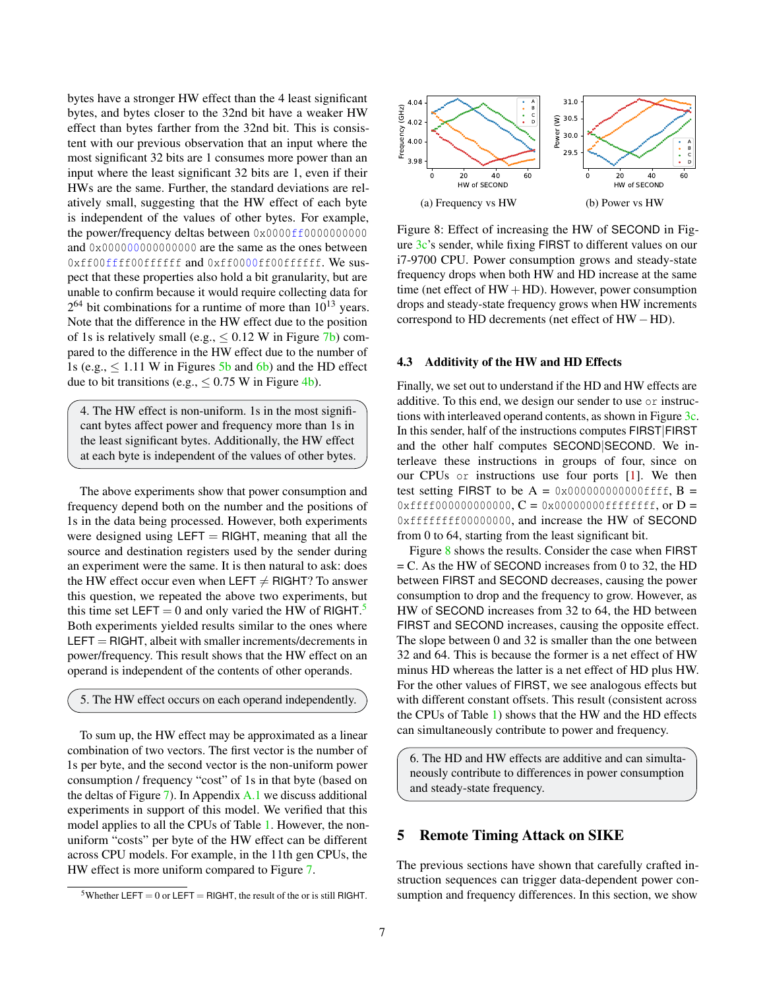bytes have a stronger HW effect than the 4 least significant bytes, and bytes closer to the 32nd bit have a weaker HW effect than bytes farther from the 32nd bit. This is consistent with our previous observation that an input where the most significant 32 bits are 1 consumes more power than an input where the least significant 32 bits are 1, even if their HWs are the same. Further, the standard deviations are relatively small, suggesting that the HW effect of each byte is independent of the values of other bytes. For example, the power/frequency deltas between 0x0000ff00000000000 and 0x000000000000000 are the same as the ones between 0xff00ffff00ffffff and 0xff0000ff00ffffff. We suspect that these properties also hold a bit granularity, but are unable to confirm because it would require collecting data for  $2^{64}$  bit combinations for a runtime of more than  $10^{13}$  years. Note that the difference in the HW effect due to the position of 1s is relatively small (e.g.,  $\leq 0.12$  W in Figure [7b\)](#page-5-2) compared to the difference in the HW effect due to the number of 1s (e.g.,  $\leq 1.11$  W in Figures [5b](#page-5-0) and [6b\)](#page-5-1) and the HD effect due to bit transitions (e.g.,  $\leq 0.75$  W in Figure [4b\)](#page-4-3).

4. The HW effect is non-uniform. 1s in the most significant bytes affect power and frequency more than 1s in the least significant bytes. Additionally, the HW effect at each byte is independent of the values of other bytes.

The above experiments show that power consumption and frequency depend both on the number and the positions of 1s in the data being processed. However, both experiments were designed using  $LEFT = RIGHT$ , meaning that all the source and destination registers used by the sender during an experiment were the same. It is then natural to ask: does the HW effect occur even when LEFT  $\neq$  RIGHT? To answer this question, we repeated the above two experiments, but this time set LEFT = 0 and only varied the HW of RIGHT.<sup>[5](#page-6-1)</sup> Both experiments yielded results similar to the ones where  $LEFT = RIGHT$ , albeit with smaller increments/decrements in power/frequency. This result shows that the HW effect on an operand is independent of the contents of other operands.

### 5. The HW effect occurs on each operand independently.

To sum up, the HW effect may be approximated as a linear combination of two vectors. The first vector is the number of 1s per byte, and the second vector is the non-uniform power consumption / frequency "cost" of 1s in that byte (based on the deltas of Figure [7\)](#page-5-2). In Appendix [A.1](#page-15-23) we discuss additional experiments in support of this model. We verified that this model applies to all the CPUs of Table [1.](#page-2-1) However, the nonuniform "costs" per byte of the HW effect can be different across CPU models. For example, in the 11th gen CPUs, the HW effect is more uniform compared to Figure [7.](#page-5-2)

<span id="page-6-2"></span>

Figure 8: Effect of increasing the HW of SECOND in Figure [3c'](#page-4-0)s sender, while fixing FIRST to different values on our i7-9700 CPU. Power consumption grows and steady-state frequency drops when both HW and HD increase at the same time (net effect of  $HW + HD$ ). However, power consumption drops and steady-state frequency grows when HW increments correspond to HD decrements (net effect of HW−HD).

#### <span id="page-6-3"></span>4.3 Additivity of the HW and HD Effects

Finally, we set out to understand if the HD and HW effects are additive. To this end, we design our sender to use or instructions with interleaved operand contents, as shown in Figure [3c.](#page-4-0) In this sender, half of the instructions computes FIRST|FIRST and the other half computes SECOND|SECOND. We interleave these instructions in groups of four, since on our CPUs or instructions use four ports [\[1\]](#page-13-8). We then test setting FIRST to be  $A = 0x000000000000$  results  $B =$  $0xfff000000000000$ ,  $C = 0x00000000ffffffff, or D =$ 0xffffffff00000000, and increase the HW of SECOND from 0 to 64, starting from the least significant bit.

Figure [8](#page-6-2) shows the results. Consider the case when FIRST  $=$  C. As the HW of SECOND increases from 0 to 32, the HD between FIRST and SECOND decreases, causing the power consumption to drop and the frequency to grow. However, as HW of SECOND increases from 32 to 64, the HD between FIRST and SECOND increases, causing the opposite effect. The slope between 0 and 32 is smaller than the one between 32 and 64. This is because the former is a net effect of HW minus HD whereas the latter is a net effect of HD plus HW. For the other values of FIRST, we see analogous effects but with different constant offsets. This result (consistent across the CPUs of Table [1\)](#page-2-1) shows that the HW and the HD effects can simultaneously contribute to power and frequency.

6. The HD and HW effects are additive and can simultaneously contribute to differences in power consumption and steady-state frequency.

# <span id="page-6-0"></span>5 Remote Timing Attack on SIKE

The previous sections have shown that carefully crafted instruction sequences can trigger data-dependent power consumption and frequency differences. In this section, we show

<span id="page-6-1"></span><sup>&</sup>lt;sup>5</sup>Whether LEFT = 0 or LEFT = RIGHT, the result of the or is still RIGHT.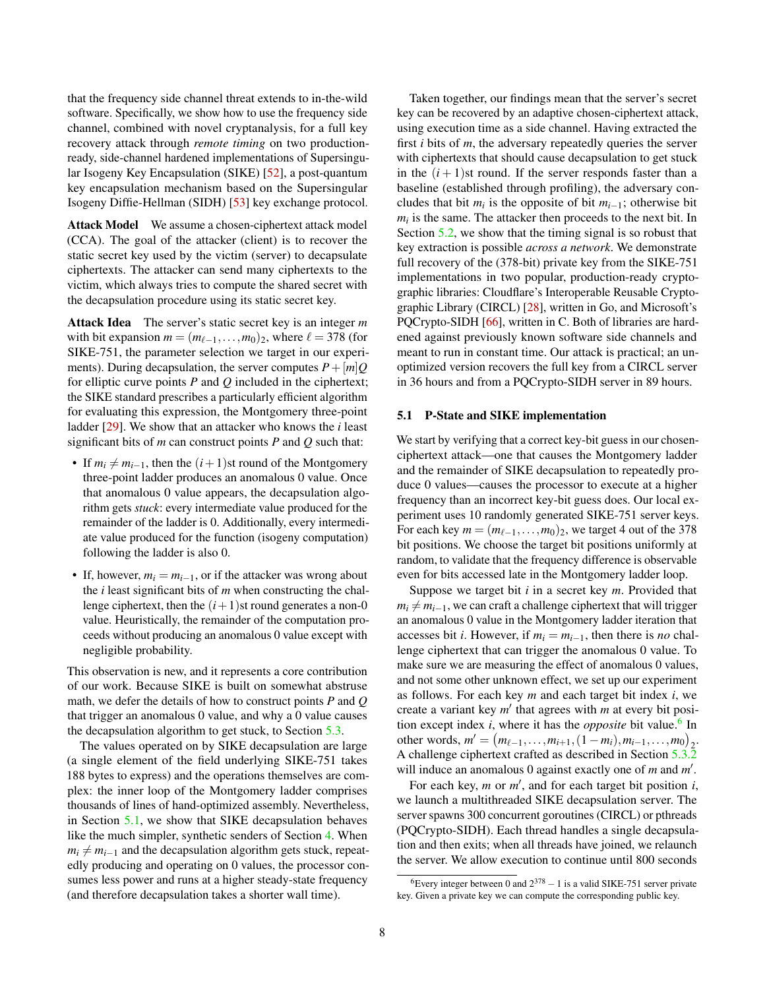that the frequency side channel threat extends to in-the-wild software. Specifically, we show how to use the frequency side channel, combined with novel cryptanalysis, for a full key recovery attack through *remote timing* on two productionready, side-channel hardened implementations of Supersingular Isogeny Key Encapsulation (SIKE) [\[52\]](#page-14-5), a post-quantum key encapsulation mechanism based on the Supersingular Isogeny Diffie-Hellman (SIDH) [\[53\]](#page-14-22) key exchange protocol.

Attack Model We assume a chosen-ciphertext attack model (CCA). The goal of the attacker (client) is to recover the static secret key used by the victim (server) to decapsulate ciphertexts. The attacker can send many ciphertexts to the victim, which always tries to compute the shared secret with the decapsulation procedure using its static secret key.

Attack Idea The server's static secret key is an integer *m* with bit expansion  $m = (m_{\ell-1},...,m_0)_2$ , where  $\ell = 378$  (for SIKE-751, the parameter selection we target in our experiments). During decapsulation, the server computes  $P + [m]Q$ for elliptic curve points *P* and *Q* included in the ciphertext; the SIKE standard prescribes a particularly efficient algorithm for evaluating this expression, the Montgomery three-point ladder [\[29\]](#page-14-23). We show that an attacker who knows the *i* least significant bits of *m* can construct points *P* and *Q* such that:

- If  $m_i \neq m_{i-1}$ , then the  $(i+1)$ st round of the Montgomery three-point ladder produces an anomalous 0 value. Once that anomalous 0 value appears, the decapsulation algorithm gets *stuck*: every intermediate value produced for the remainder of the ladder is 0. Additionally, every intermediate value produced for the function (isogeny computation) following the ladder is also 0.
- If, however,  $m_i = m_{i-1}$ , or if the attacker was wrong about the *i* least significant bits of *m* when constructing the challenge ciphertext, then the  $(i+1)$ st round generates a non-0 value. Heuristically, the remainder of the computation proceeds without producing an anomalous 0 value except with negligible probability.

This observation is new, and it represents a core contribution of our work. Because SIKE is built on somewhat abstruse math, we defer the details of how to construct points *P* and *Q* that trigger an anomalous 0 value, and why a 0 value causes the decapsulation algorithm to get stuck, to Section [5.3.](#page-9-0)

The values operated on by SIKE decapsulation are large (a single element of the field underlying SIKE-751 takes 188 bytes to express) and the operations themselves are complex: the inner loop of the Montgomery ladder comprises thousands of lines of hand-optimized assembly. Nevertheless, in Section [5.1,](#page-7-0) we show that SIKE decapsulation behaves like the much simpler, synthetic senders of Section [4.](#page-3-1) When  $m_i \neq m_{i-1}$  and the decapsulation algorithm gets stuck, repeatedly producing and operating on 0 values, the processor consumes less power and runs at a higher steady-state frequency (and therefore decapsulation takes a shorter wall time).

Taken together, our findings mean that the server's secret key can be recovered by an adaptive chosen-ciphertext attack, using execution time as a side channel. Having extracted the first *i* bits of *m*, the adversary repeatedly queries the server with ciphertexts that should cause decapsulation to get stuck in the  $(i + 1)$ st round. If the server responds faster than a baseline (established through profiling), the adversary concludes that bit  $m_i$  is the opposite of bit  $m_{i-1}$ ; otherwise bit  $m_i$  is the same. The attacker then proceeds to the next bit. In Section [5.2,](#page-8-0) we show that the timing signal is so robust that key extraction is possible *across a network*. We demonstrate full recovery of the (378-bit) private key from the SIKE-751 implementations in two popular, production-ready cryptographic libraries: Cloudflare's Interoperable Reusable Cryptographic Library (CIRCL) [\[28\]](#page-14-6), written in Go, and Microsoft's PQCrypto-SIDH [\[66\]](#page-15-9), written in C. Both of libraries are hardened against previously known software side channels and meant to run in constant time. Our attack is practical; an unoptimized version recovers the full key from a CIRCL server in 36 hours and from a PQCrypto-SIDH server in 89 hours.

#### <span id="page-7-0"></span>5.1 P-State and SIKE implementation

We start by verifying that a correct key-bit guess in our chosenciphertext attack—one that causes the Montgomery ladder and the remainder of SIKE decapsulation to repeatedly produce 0 values—causes the processor to execute at a higher frequency than an incorrect key-bit guess does. Our local experiment uses 10 randomly generated SIKE-751 server keys. For each key  $m = (m_{\ell-1}, \ldots, m_0)_2$ , we target 4 out of the 378 bit positions. We choose the target bit positions uniformly at random, to validate that the frequency difference is observable even for bits accessed late in the Montgomery ladder loop.

Suppose we target bit *i* in a secret key *m*. Provided that  $m_i \neq m_{i-1}$ , we can craft a challenge ciphertext that will trigger an anomalous 0 value in the Montgomery ladder iteration that accesses bit *i*. However, if  $m_i = m_{i-1}$ , then there is *no* challenge ciphertext that can trigger the anomalous 0 value. To make sure we are measuring the effect of anomalous 0 values, and not some other unknown effect, we set up our experiment as follows. For each key *m* and each target bit index *i*, we create a variant key  $m'$  that agrees with  $m$  at every bit position except index *i*, where it has the *opposite* bit value.<sup>[6](#page-7-1)</sup> In other words,  $m' = (m_{\ell-1},...,m_{i+1},(1 - m_i),m_{i-1},...,m_0)_2$ . A challenge ciphertext crafted as described in Section [5.3.2](#page-10-0) will induce an anomalous 0 against exactly one of  $m$  and  $m'$ .

For each key,  $m$  or  $m'$ , and for each target bit position  $i$ , we launch a multithreaded SIKE decapsulation server. The server spawns 300 concurrent goroutines (CIRCL) or pthreads (PQCrypto-SIDH). Each thread handles a single decapsulation and then exits; when all threads have joined, we relaunch the server. We allow execution to continue until 800 seconds

<span id="page-7-1"></span><sup>&</sup>lt;sup>6</sup>Every integer between 0 and  $2^{378} - 1$  is a valid SIKE-751 server private key. Given a private key we can compute the corresponding public key.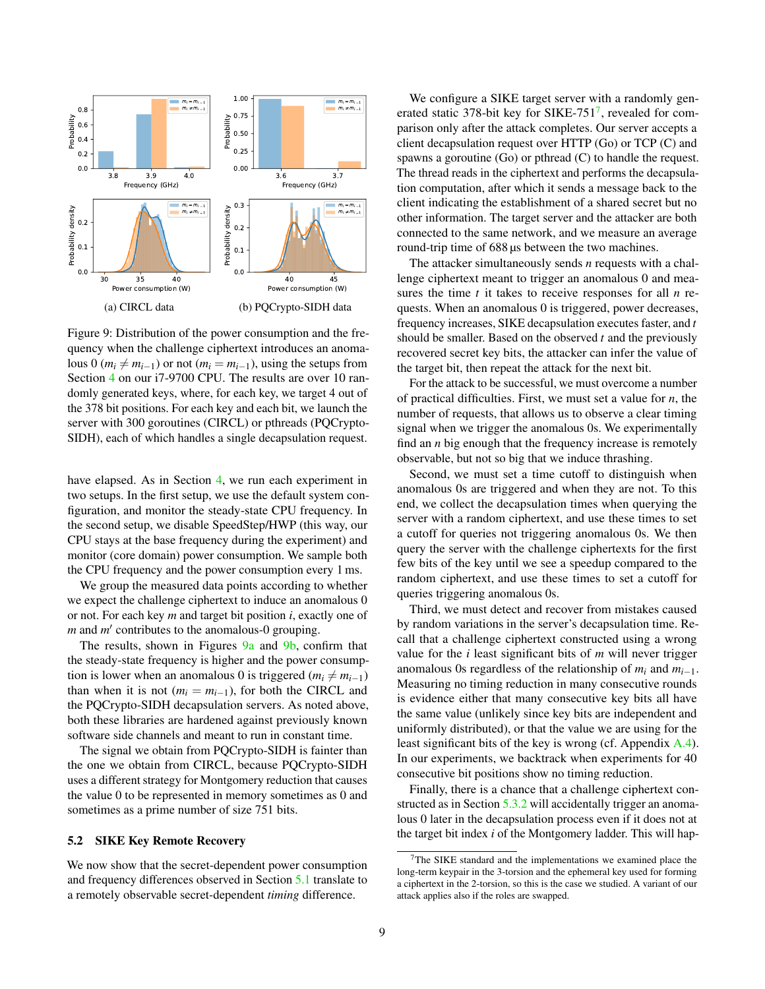<span id="page-8-1"></span>

Figure 9: Distribution of the power consumption and the frequency when the challenge ciphertext introduces an anomalous 0 ( $m_i \neq m_{i-1}$ ) or not ( $m_i = m_{i-1}$ ), using the setups from Section [4](#page-3-1) on our i7-9700 CPU. The results are over 10 randomly generated keys, where, for each key, we target 4 out of the 378 bit positions. For each key and each bit, we launch the server with 300 goroutines (CIRCL) or pthreads (PQCrypto-SIDH), each of which handles a single decapsulation request.

have elapsed. As in Section [4,](#page-3-1) we run each experiment in two setups. In the first setup, we use the default system configuration, and monitor the steady-state CPU frequency. In the second setup, we disable SpeedStep/HWP (this way, our CPU stays at the base frequency during the experiment) and monitor (core domain) power consumption. We sample both the CPU frequency and the power consumption every 1 ms.

We group the measured data points according to whether we expect the challenge ciphertext to induce an anomalous 0 or not. For each key *m* and target bit position *i*, exactly one of *m* and *m'* contributes to the anomalous-0 grouping.

The results, shown in Figures [9a](#page-8-1) and [9b,](#page-8-1) confirm that the steady-state frequency is higher and the power consumption is lower when an anomalous 0 is triggered ( $m_i \neq m_{i-1}$ ) than when it is not ( $m_i = m_{i-1}$ ), for both the CIRCL and the PQCrypto-SIDH decapsulation servers. As noted above, both these libraries are hardened against previously known software side channels and meant to run in constant time.

The signal we obtain from PQCrypto-SIDH is fainter than the one we obtain from CIRCL, because PQCrypto-SIDH uses a different strategy for Montgomery reduction that causes the value 0 to be represented in memory sometimes as 0 and sometimes as a prime number of size 751 bits.

#### <span id="page-8-0"></span>5.2 SIKE Key Remote Recovery

We now show that the secret-dependent power consumption and frequency differences observed in Section [5.1](#page-7-0) translate to a remotely observable secret-dependent *timing* difference.

We configure a SIKE target server with a randomly gen-erated static 3[7](#page-8-2)8-bit key for SIKE-751<sup>7</sup>, revealed for comparison only after the attack completes. Our server accepts a client decapsulation request over HTTP (Go) or TCP (C) and spawns a goroutine (Go) or pthread (C) to handle the request. The thread reads in the ciphertext and performs the decapsulation computation, after which it sends a message back to the client indicating the establishment of a shared secret but no other information. The target server and the attacker are both connected to the same network, and we measure an average round-trip time of 688 µs between the two machines.

The attacker simultaneously sends *n* requests with a challenge ciphertext meant to trigger an anomalous 0 and measures the time *t* it takes to receive responses for all *n* requests. When an anomalous 0 is triggered, power decreases, frequency increases, SIKE decapsulation executes faster, and *t* should be smaller. Based on the observed *t* and the previously recovered secret key bits, the attacker can infer the value of the target bit, then repeat the attack for the next bit.

For the attack to be successful, we must overcome a number of practical difficulties. First, we must set a value for *n*, the number of requests, that allows us to observe a clear timing signal when we trigger the anomalous 0s. We experimentally find an *n* big enough that the frequency increase is remotely observable, but not so big that we induce thrashing.

Second, we must set a time cutoff to distinguish when anomalous 0s are triggered and when they are not. To this end, we collect the decapsulation times when querying the server with a random ciphertext, and use these times to set a cutoff for queries not triggering anomalous 0s. We then query the server with the challenge ciphertexts for the first few bits of the key until we see a speedup compared to the random ciphertext, and use these times to set a cutoff for queries triggering anomalous 0s.

Third, we must detect and recover from mistakes caused by random variations in the server's decapsulation time. Recall that a challenge ciphertext constructed using a wrong value for the *i* least significant bits of *m* will never trigger anomalous 0s regardless of the relationship of  $m_i$  and  $m_{i-1}$ . Measuring no timing reduction in many consecutive rounds is evidence either that many consecutive key bits all have the same value (unlikely since key bits are independent and uniformly distributed), or that the value we are using for the least significant bits of the key is wrong (cf. Appendix [A.4\)](#page-18-0). In our experiments, we backtrack when experiments for 40 consecutive bit positions show no timing reduction.

Finally, there is a chance that a challenge ciphertext con-structed as in Section [5.3.2](#page-10-0) will accidentally trigger an anomalous 0 later in the decapsulation process even if it does not at the target bit index *i* of the Montgomery ladder. This will hap-

<span id="page-8-2"></span><sup>7</sup>The SIKE standard and the implementations we examined place the long-term keypair in the 3-torsion and the ephemeral key used for forming a ciphertext in the 2-torsion, so this is the case we studied. A variant of our attack applies also if the roles are swapped.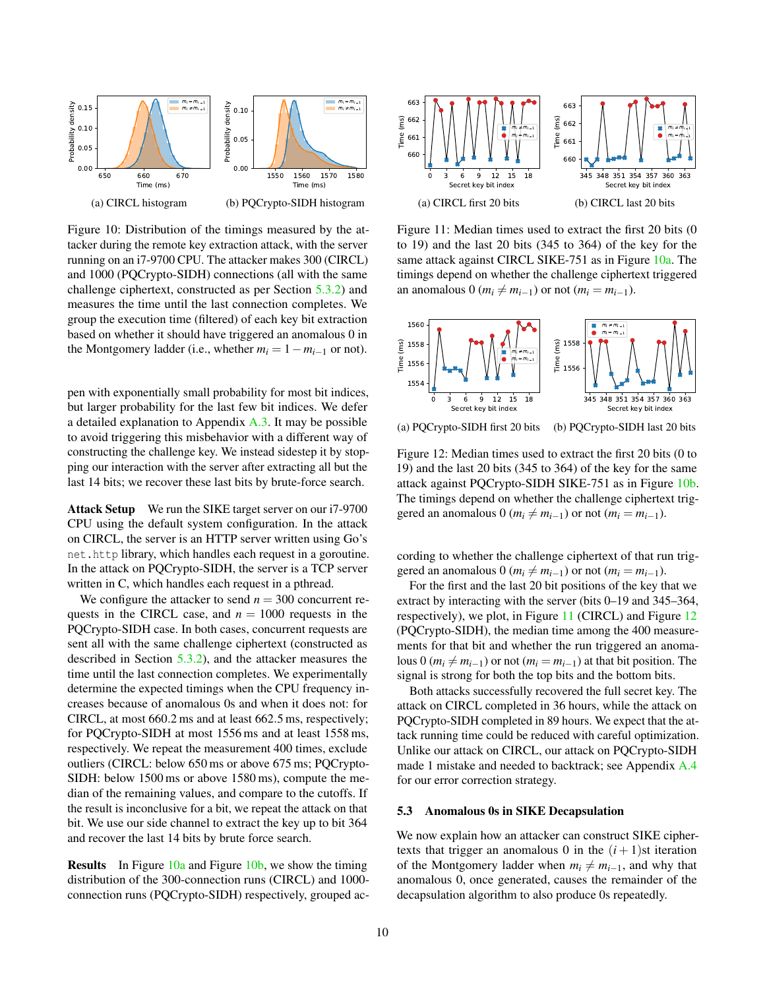<span id="page-9-1"></span>

Figure 10: Distribution of the timings measured by the attacker during the remote key extraction attack, with the server running on an i7-9700 CPU. The attacker makes 300 (CIRCL) and 1000 (PQCrypto-SIDH) connections (all with the same challenge ciphertext, constructed as per Section [5.3.2\)](#page-10-0) and measures the time until the last connection completes. We group the execution time (filtered) of each key bit extraction based on whether it should have triggered an anomalous 0 in the Montgomery ladder (i.e., whether  $m_i = 1 - m_{i-1}$  or not).

pen with exponentially small probability for most bit indices, but larger probability for the last few bit indices. We defer a detailed explanation to Appendix  $A.3$ . It may be possible to avoid triggering this misbehavior with a different way of constructing the challenge key. We instead sidestep it by stopping our interaction with the server after extracting all but the last 14 bits; we recover these last bits by brute-force search.

Attack Setup We run the SIKE target server on our i7-9700 CPU using the default system configuration. In the attack on CIRCL, the server is an HTTP server written using Go's net.http library, which handles each request in a goroutine. In the attack on PQCrypto-SIDH, the server is a TCP server written in C, which handles each request in a pthread.

We configure the attacker to send  $n = 300$  concurrent requests in the CIRCL case, and  $n = 1000$  requests in the PQCrypto-SIDH case. In both cases, concurrent requests are sent all with the same challenge ciphertext (constructed as described in Section [5.3.2\)](#page-10-0), and the attacker measures the time until the last connection completes. We experimentally determine the expected timings when the CPU frequency increases because of anomalous 0s and when it does not: for CIRCL, at most 660.2 ms and at least 662.5 ms, respectively; for PQCrypto-SIDH at most 1556 ms and at least 1558 ms, respectively. We repeat the measurement 400 times, exclude outliers (CIRCL: below 650 ms or above 675 ms; PQCrypto-SIDH: below 1500 ms or above 1580 ms), compute the median of the remaining values, and compare to the cutoffs. If the result is inconclusive for a bit, we repeat the attack on that bit. We use our side channel to extract the key up to bit 364 and recover the last 14 bits by brute force search.

Results In Figure [10a](#page-9-1) and Figure [10b,](#page-9-1) we show the timing distribution of the 300-connection runs (CIRCL) and 1000 connection runs (PQCrypto-SIDH) respectively, grouped ac-

<span id="page-9-2"></span>

Figure 11: Median times used to extract the first 20 bits (0 to 19) and the last 20 bits (345 to 364) of the key for the same attack against CIRCL SIKE-751 as in Figure [10a.](#page-9-1) The timings depend on whether the challenge ciphertext triggered an anomalous 0 ( $m_i \neq m_{i-1}$ ) or not ( $m_i = m_{i-1}$ ).

<span id="page-9-3"></span>

Figure 12: Median times used to extract the first 20 bits (0 to 19) and the last 20 bits (345 to 364) of the key for the same attack against PQCrypto-SIDH SIKE-751 as in Figure [10b.](#page-9-1) The timings depend on whether the challenge ciphertext triggered an anomalous 0 ( $m_i \neq m_{i-1}$ ) or not ( $m_i = m_{i-1}$ ).

cording to whether the challenge ciphertext of that run triggered an anomalous 0 ( $m_i \neq m_{i-1}$ ) or not ( $m_i = m_{i-1}$ ).

For the first and the last 20 bit positions of the key that we extract by interacting with the server (bits 0–19 and 345–364, respectively), we plot, in Figure [11](#page-9-2) (CIRCL) and Figure [12](#page-9-3) (PQCrypto-SIDH), the median time among the 400 measurements for that bit and whether the run triggered an anomalous 0 ( $m_i \neq m_{i-1}$ ) or not ( $m_i = m_{i-1}$ ) at that bit position. The signal is strong for both the top bits and the bottom bits.

Both attacks successfully recovered the full secret key. The attack on CIRCL completed in 36 hours, while the attack on PQCrypto-SIDH completed in 89 hours. We expect that the attack running time could be reduced with careful optimization. Unlike our attack on CIRCL, our attack on PQCrypto-SIDH made 1 mistake and needed to backtrack; see Appendix [A.4](#page-18-0) for our error correction strategy.

#### <span id="page-9-0"></span>5.3 Anomalous 0s in SIKE Decapsulation

We now explain how an attacker can construct SIKE ciphertexts that trigger an anomalous 0 in the  $(i + 1)$ st iteration of the Montgomery ladder when  $m_i \neq m_{i-1}$ , and why that anomalous 0, once generated, causes the remainder of the decapsulation algorithm to also produce 0s repeatedly.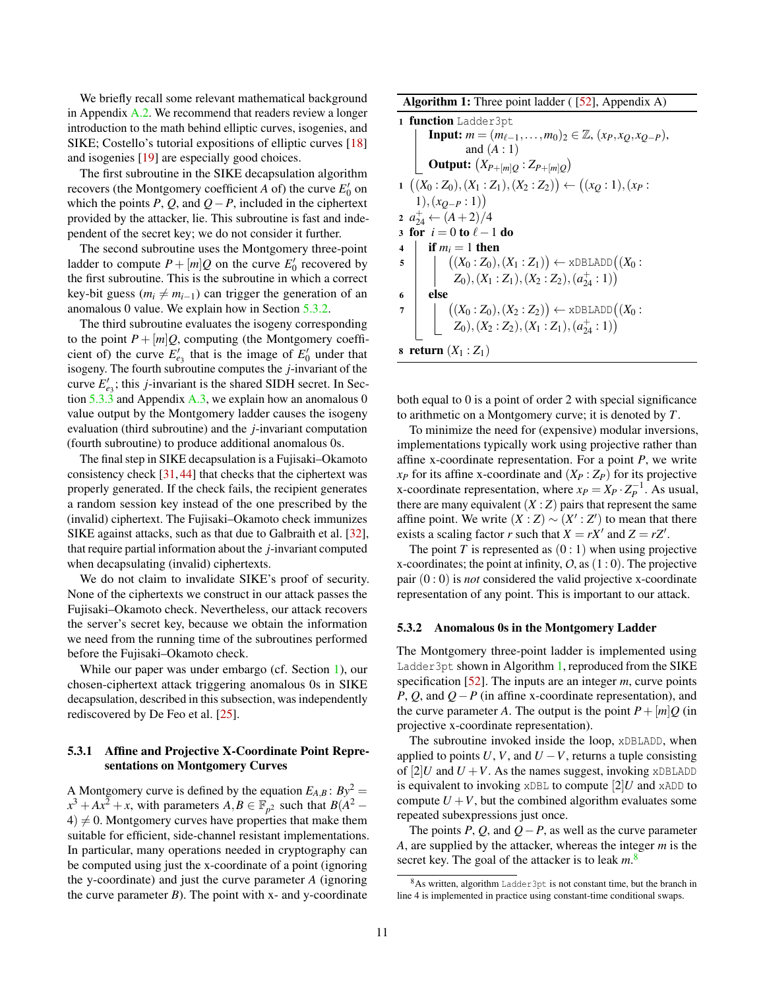We briefly recall some relevant mathematical background in Appendix [A.2.](#page-17-0) We recommend that readers review a longer introduction to the math behind elliptic curves, isogenies, and SIKE; Costello's tutorial expositions of elliptic curves [\[18\]](#page-13-10) and isogenies [\[19\]](#page-13-11) are especially good choices.

The first subroutine in the SIKE decapsulation algorithm recovers (the Montgomery coefficient  $A$  of) the curve  $E'_0$  on which the points *P*, *Q*, and  $Q - P$ , included in the ciphertext provided by the attacker, lie. This subroutine is fast and independent of the secret key; we do not consider it further.

The second subroutine uses the Montgomery three-point ladder to compute  $P + [m]Q$  on the curve  $E'_0$  recovered by the first subroutine. This is the subroutine in which a correct key-bit guess ( $m_i \neq m_{i-1}$ ) can trigger the generation of an anomalous 0 value. We explain how in Section [5.3.2.](#page-10-0)

The third subroutine evaluates the isogeny corresponding to the point  $P + [m]Q$ , computing (the Montgomery coefficient of) the curve  $E'_{e_3}$  that is the image of  $E'_0$  under that isogeny. The fourth subroutine computes the *j*-invariant of the curve  $E'_{e_3}$ ; this *j*-invariant is the shared SIDH secret. In Section  $5.\overline{3}.\overline{3}$  and Appendix [A.3,](#page-18-1) we explain how an anomalous 0 value output by the Montgomery ladder causes the isogeny evaluation (third subroutine) and the *j*-invariant computation (fourth subroutine) to produce additional anomalous 0s.

The final step in SIKE decapsulation is a Fujisaki–Okamoto consistency check  $[31, 44]$  $[31, 44]$  $[31, 44]$  that checks that the ciphertext was properly generated. If the check fails, the recipient generates a random session key instead of the one prescribed by the (invalid) ciphertext. The Fujisaki–Okamoto check immunizes SIKE against attacks, such as that due to Galbraith et al. [\[32\]](#page-14-26), that require partial information about the *j*-invariant computed when decapsulating (invalid) ciphertexts.

We do not claim to invalidate SIKE's proof of security. None of the ciphertexts we construct in our attack passes the Fujisaki–Okamoto check. Nevertheless, our attack recovers the server's secret key, because we obtain the information we need from the running time of the subroutines performed before the Fujisaki–Okamoto check.

While our paper was under embargo (cf. Section [1\)](#page-0-0), our chosen-ciphertext attack triggering anomalous 0s in SIKE decapsulation, described in this subsection, was independently rediscovered by De Feo et al. [\[25\]](#page-14-27).

### 5.3.1 Affine and Projective X-Coordinate Point Representations on Montgomery Curves

A Montgomery curve is defined by the equation  $E_{A,B}$ :  $By^2 =$  $x^3 + Ax^2 + x$ , with parameters  $A, B \in \mathbb{F}_{p^2}$  such that  $B(A^2 4 \neq 0$ . Montgomery curves have properties that make them suitable for efficient, side-channel resistant implementations. In particular, many operations needed in cryptography can be computed using just the x-coordinate of a point (ignoring the y-coordinate) and just the curve parameter *A* (ignoring the curve parameter  $B$ ). The point with x- and y-coordinate

**Algorithm 1:** Three point ladder  $(52)$ , Appendix A)

1 function Ladder3pt  
\nInput: 
$$
m = (m_{\ell-1},...,m_0)_2 \in \mathbb{Z}, (x_P, x_Q, x_{Q-P}),
$$
  
\nand (A : 1)  
\nOutput:  $(X_{P+[m]Q} : Z_{P+[m]Q})$   
\n1  $((X_0 : Z_0), (X_1 : Z_1), (X_2 : Z_2)) \leftarrow ((x_Q : 1), (x_P : 1), (x_{Q-P} : 1))$   
\n2  $a_{24}^1 \leftarrow (A+2)/4$   
\n3 for  $i = 0$  to  $\ell - 1$  do  
\n4  $\begin{array}{|l|l|}\n \text{if } m_i = 1 \text{ then} \\
 \text{(}(X_0 : Z_0), (X_1 : Z_1)) \leftarrow \text{xDBLADD}((X_0 : Z_0), (X_1 : Z_1), (X_2 : Z_2), (a_{24}^+ : 1))\n \end{array}$   
\n6  $\text{else}$   
\n7  $\begin{array}{|l|l|}\n \text{(}(X_0 : Z_0), (X_2 : Z_2)) \leftarrow \text{xDBLADD}((X_0 : Z_0), (X_2 : Z_2), (X_1 : Z_1), (a_{24}^+ : 1))\n \end{array}$   
\n8 return (X₁ : Z₁)

<span id="page-10-1"></span>both equal to 0 is a point of order 2 with special significance to arithmetic on a Montgomery curve; it is denoted by *T*.

To minimize the need for (expensive) modular inversions, implementations typically work using projective rather than affine x-coordinate representation. For a point *P*, we write  $x_P$  for its affine x-coordinate and  $(X_P : Z_P)$  for its projective x-coordinate representation, where  $x_P = X_P \cdot Z_P^{-1}$ . As usual, there are many equivalent  $(X:Z)$  pairs that represent the same affine point. We write  $(X : Z) \sim (X' : Z')$  to mean that there exists a scaling factor *r* such that  $X = rX'$  and  $Z = rZ'$ .

The point  $T$  is represented as  $(0:1)$  when using projective x-coordinates; the point at infinity,  $O$ , as  $(1:0)$ . The projective pair (0 : 0) is *not* considered the valid projective x-coordinate representation of any point. This is important to our attack.

#### <span id="page-10-0"></span>5.3.2 Anomalous 0s in the Montgomery Ladder

The Montgomery three-point ladder is implemented using Ladder3pt shown in Algorithm [1,](#page-10-1) reproduced from the SIKE specification [\[52\]](#page-14-5). The inputs are an integer *m*, curve points *P*, *Q*, and *Q* − *P* (in affine x-coordinate representation), and the curve parameter *A*. The output is the point  $P + [m]Q$  (in projective x-coordinate representation).

The subroutine invoked inside the loop, xDBLADD, when applied to points  $U$ ,  $V$ , and  $U - V$ , returns a tuple consisting of  $[2]U$  and  $U + V$ . As the names suggest, invoking xDBLADD is equivalent to invoking xDBL to compute [2]*U* and xADD to compute  $U + V$ , but the combined algorithm evaluates some repeated subexpressions just once.

The points *P*, *Q*, and *Q*−*P*, as well as the curve parameter *A*, are supplied by the attacker, whereas the integer *m* is the secret key. The goal of the attacker is to leak *m*. [8](#page-10-2)

<span id="page-10-2"></span><sup>8</sup>As written, algorithm Ladder3pt is not constant time, but the branch in line 4 is implemented in practice using constant-time conditional swaps.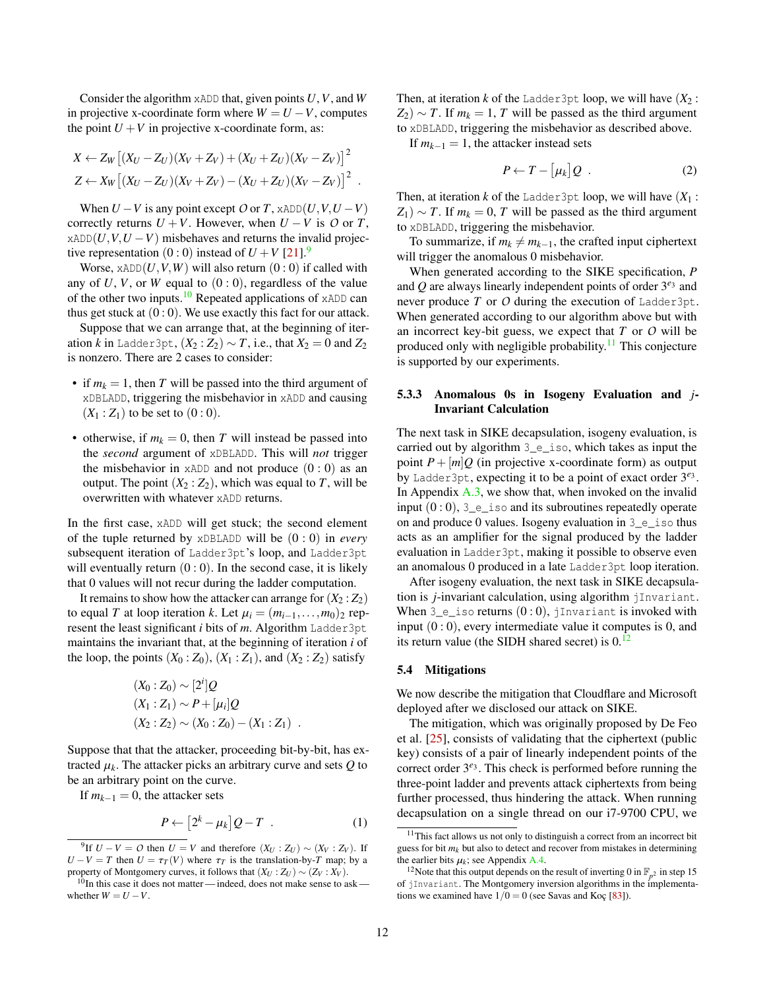Consider the algorithm xADD that, given points *U*,*V*, and *W* in projective x-coordinate form where  $W = U - V$ , computes the point  $U + V$  in projective x-coordinate form, as:

$$
X \leftarrow Z_W [(X_U - Z_U)(X_V + Z_V) + (X_U + Z_U)(X_V - Z_V)]^2
$$
  
\n
$$
Z \leftarrow X_W [(X_U - Z_U)(X_V + Z_V) - (X_U + Z_U)(X_V - Z_V)]^2
$$
.

When  $U - V$  is any point except  $O$  or  $T$ , xADD $(U, V, U - V)$ correctly returns  $U + V$ . However, when  $U - V$  is  $O$  or  $T$ ,  $x$ ADD $(U, V, U - V)$  misbehaves and returns the invalid projective representation  $(0:0)$  instead of  $U + V$  [\[21\]](#page-14-28).<sup>[9](#page-11-1)</sup>

Worse,  $xADD(U, V, W)$  will also return  $(0:0)$  if called with any of  $U$ ,  $V$ , or  $W$  equal to  $(0:0)$ , regardless of the value of the other two inputs.<sup>[10](#page-11-2)</sup> Repeated applications of  $xADD$  can thus get stuck at  $(0:0)$ . We use exactly this fact for our attack.

Suppose that we can arrange that, at the beginning of iteration *k* in Ladder3pt,  $(X_2 : Z_2) \sim T$ , i.e., that  $X_2 = 0$  and  $Z_2$ is nonzero. There are 2 cases to consider:

- if  $m_k = 1$ , then *T* will be passed into the third argument of xDBLADD, triggering the misbehavior in xADD and causing  $(X_1 : Z_1)$  to be set to  $(0 : 0)$ .
- otherwise, if  $m_k = 0$ , then *T* will instead be passed into the *second* argument of xDBLADD. This will *not* trigger the misbehavior in  $xADD$  and not produce  $(0:0)$  as an output. The point  $(X_2 : Z_2)$ , which was equal to *T*, will be overwritten with whatever xADD returns.

In the first case, xADD will get stuck; the second element of the tuple returned by xDBLADD will be (0 : 0) in *every* subsequent iteration of Ladder3pt's loop, and Ladder3pt will eventually return  $(0:0)$ . In the second case, it is likely that 0 values will not recur during the ladder computation.

It remains to show how the attacker can arrange for  $(X_2 : Z_2)$ to equal *T* at loop iteration *k*. Let  $\mu_i = (m_{i-1}, \ldots, m_0)_2$  represent the least significant *i* bits of *m*. Algorithm Ladder3pt maintains the invariant that, at the beginning of iteration *i* of the loop, the points  $(X_0:Z_0)$ ,  $(X_1:Z_1)$ , and  $(X_2:Z_2)$  satisfy

$$
(X_0:Z_0) \sim [2^i]Q
$$
  
\n
$$
(X_1:Z_1) \sim P + [\mu_i]Q
$$
  
\n
$$
(X_2:Z_2) \sim (X_0:Z_0) - (X_1:Z_1).
$$

Suppose that that the attacker, proceeding bit-by-bit, has extracted  $\mu_k$ . The attacker picks an arbitrary curve and sets  $Q$  to be an arbitrary point on the curve.

If  $m_{k-1} = 0$ , the attacker sets

$$
P \leftarrow [2^k - \mu_k] Q - T \quad . \tag{1}
$$

Then, at iteration *k* of the Ladder3pt loop, we will have  $(X_2)$ :  $Z_2$ ) ~ *T*. If  $m_k = 1$ , *T* will be passed as the third argument to xDBLADD, triggering the misbehavior as described above.

If  $m_{k-1} = 1$ , the attacker instead sets

$$
P \leftarrow T - [\mu_k] Q \quad . \tag{2}
$$

Then, at iteration *k* of the Ladder3pt loop, we will have  $(X_1:$  $Z_1$ ) ~ *T*. If  $m_k = 0$ , *T* will be passed as the third argument to xDBLADD, triggering the misbehavior.

To summarize, if  $m_k \neq m_{k-1}$ , the crafted input ciphertext will trigger the anomalous 0 misbehavior.

When generated according to the SIKE specification, *P* and Q are always linearly independent points of order 3<sup>e3</sup> and never produce *T* or *O* during the execution of Ladder3pt. When generated according to our algorithm above but with an incorrect key-bit guess, we expect that *T* or *O* will be produced only with negligible probability.<sup>[11](#page-11-3)</sup> This conjecture is supported by our experiments.

### <span id="page-11-0"></span>5.3.3 Anomalous 0s in Isogeny Evaluation and *j*-Invariant Calculation

The next task in SIKE decapsulation, isogeny evaluation, is carried out by algorithm 3\_e\_iso, which takes as input the point  $P + [m]Q$  (in projective x-coordinate form) as output by Ladder3pt, expecting it to be a point of exact order 3 *e*3 . In Appendix  $A.3$ , we show that, when invoked on the invalid input  $(0:0)$ ,  $3_e$  iso and its subroutines repeatedly operate on and produce 0 values. Isogeny evaluation in 3\_e\_iso thus acts as an amplifier for the signal produced by the ladder evaluation in Ladder3pt, making it possible to observe even an anomalous 0 produced in a late Ladder3pt loop iteration.

After isogeny evaluation, the next task in SIKE decapsulation is *j*-invariant calculation, using algorithm jInvariant. When  $3_e$  iso returns  $(0:0)$ , jInvariant is invoked with input  $(0:0)$ , every intermediate value it computes is 0, and its return value (the SIDH shared secret) is  $0<sup>12</sup>$  $0<sup>12</sup>$  $0<sup>12</sup>$ 

### <span id="page-11-5"></span>5.4 Mitigations

We now describe the mitigation that Cloudflare and Microsoft deployed after we disclosed our attack on SIKE.

The mitigation, which was originally proposed by De Feo et al. [\[25\]](#page-14-27), consists of validating that the ciphertext (public key) consists of a pair of linearly independent points of the correct order 3<sup>e<sub>3</sub></sup>. This check is performed before running the three-point ladder and prevents attack ciphertexts from being further processed, thus hindering the attack. When running decapsulation on a single thread on our i7-9700 CPU, we

<span id="page-11-1"></span><sup>&</sup>lt;sup>9</sup>If  $U - V = O$  then  $U = V$  and therefore  $(X_U : Z_U) \sim (X_V : Z_V)$ . If  $U - V = T$  then  $U = \tau_T(V)$  where  $\tau_T$  is the translation-by-*T* map; by a property of Montgomery curves, it follows that  $(X_U : Z_U) \sim (Z_V : X_V)$ .

<span id="page-11-2"></span> $10$ In this case it does not matter—indeed, does not make sense to ask whether  $W = U - V$ .

<span id="page-11-3"></span><sup>&</sup>lt;sup>11</sup>This fact allows us not only to distinguish a correct from an incorrect bit guess for bit  $m_k$  but also to detect and recover from mistakes in determining the earlier bits  $\mu_k$ ; see Appendix [A.4.](#page-18-0)

<span id="page-11-4"></span><sup>&</sup>lt;sup>12</sup>Note that this output depends on the result of inverting 0 in  $\mathbb{F}_{p^2}$  in step 15 of jInvariant. The Montgomery inversion algorithms in the implementations we examined have  $1/0 = 0$  (see Savas and Koç [\[83\]](#page-15-24)).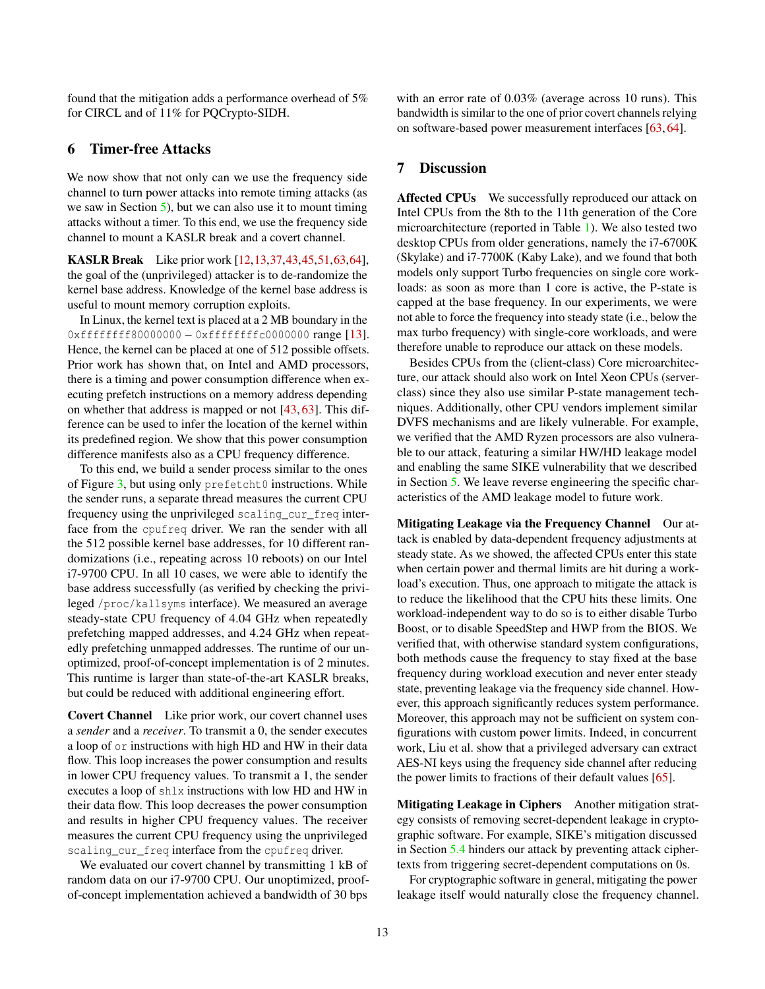found that the mitigation adds a performance overhead of 5% for CIRCL and of 11% for PQCrypto-SIDH.

# 6 Timer-free Attacks

We now show that not only can we use the frequency side channel to turn power attacks into remote timing attacks (as we saw in Section [5\)](#page-6-0), but we can also use it to mount timing attacks without a timer. To this end, we use the frequency side channel to mount a KASLR break and a covert channel.

KASLR Break Like prior work [\[12,](#page-13-12)[13](#page-13-13)[,37,](#page-14-29)[43,](#page-14-30)[45,](#page-14-31)[51,](#page-14-32)[63,](#page-14-2)[64\]](#page-15-5), the goal of the (unprivileged) attacker is to de-randomize the kernel base address. Knowledge of the kernel base address is useful to mount memory corruption exploits.

In Linux, the kernel text is placed at a 2 MB boundary in the 0xffffffff80000000 – 0xffffffffc0000000 range [\[13\]](#page-13-13). Hence, the kernel can be placed at one of 512 possible offsets. Prior work has shown that, on Intel and AMD processors, there is a timing and power consumption difference when executing prefetch instructions on a memory address depending on whether that address is mapped or not [\[43,](#page-14-30) [63\]](#page-14-2). This difference can be used to infer the location of the kernel within its predefined region. We show that this power consumption difference manifests also as a CPU frequency difference.

To this end, we build a sender process similar to the ones of Figure [3,](#page-4-0) but using only prefetcht0 instructions. While the sender runs, a separate thread measures the current CPU frequency using the unprivileged scaling\_cur\_freq interface from the cpufreq driver. We ran the sender with all the 512 possible kernel base addresses, for 10 different randomizations (i.e., repeating across 10 reboots) on our Intel i7-9700 CPU. In all 10 cases, we were able to identify the base address successfully (as verified by checking the privileged /proc/kallsyms interface). We measured an average steady-state CPU frequency of 4.04 GHz when repeatedly prefetching mapped addresses, and 4.24 GHz when repeatedly prefetching unmapped addresses. The runtime of our unoptimized, proof-of-concept implementation is of 2 minutes. This runtime is larger than state-of-the-art KASLR breaks, but could be reduced with additional engineering effort.

Covert Channel Like prior work, our covert channel uses a *sender* and a *receiver*. To transmit a 0, the sender executes a loop of or instructions with high HD and HW in their data flow. This loop increases the power consumption and results in lower CPU frequency values. To transmit a 1, the sender executes a loop of shlx instructions with low HD and HW in their data flow. This loop decreases the power consumption and results in higher CPU frequency values. The receiver measures the current CPU frequency using the unprivileged scaling cur freq interface from the cpufreq driver.

We evaluated our covert channel by transmitting 1 kB of random data on our i7-9700 CPU. Our unoptimized, proofof-concept implementation achieved a bandwidth of 30 bps

with an error rate of 0.03% (average across 10 runs). This bandwidth is similar to the one of prior covert channels relying on software-based power measurement interfaces [\[63,](#page-14-2) [64\]](#page-15-5).

# 7 Discussion

Affected CPUs We successfully reproduced our attack on Intel CPUs from the 8th to the 11th generation of the Core microarchitecture (reported in Table [1\)](#page-2-1). We also tested two desktop CPUs from older generations, namely the i7-6700K (Skylake) and i7-7700K (Kaby Lake), and we found that both models only support Turbo frequencies on single core workloads: as soon as more than 1 core is active, the P-state is capped at the base frequency. In our experiments, we were not able to force the frequency into steady state (i.e., below the max turbo frequency) with single-core workloads, and were therefore unable to reproduce our attack on these models.

Besides CPUs from the (client-class) Core microarchitecture, our attack should also work on Intel Xeon CPUs (serverclass) since they also use similar P-state management techniques. Additionally, other CPU vendors implement similar DVFS mechanisms and are likely vulnerable. For example, we verified that the AMD Ryzen processors are also vulnerable to our attack, featuring a similar HW/HD leakage model and enabling the same SIKE vulnerability that we described in Section [5.](#page-6-0) We leave reverse engineering the specific characteristics of the AMD leakage model to future work.

Mitigating Leakage via the Frequency Channel Our attack is enabled by data-dependent frequency adjustments at steady state. As we showed, the affected CPUs enter this state when certain power and thermal limits are hit during a workload's execution. Thus, one approach to mitigate the attack is to reduce the likelihood that the CPU hits these limits. One workload-independent way to do so is to either disable Turbo Boost, or to disable SpeedStep and HWP from the BIOS. We verified that, with otherwise standard system configurations, both methods cause the frequency to stay fixed at the base frequency during workload execution and never enter steady state, preventing leakage via the frequency side channel. However, this approach significantly reduces system performance. Moreover, this approach may not be sufficient on system configurations with custom power limits. Indeed, in concurrent work, Liu et al. show that a privileged adversary can extract AES-NI keys using the frequency side channel after reducing the power limits to fractions of their default values [\[65\]](#page-15-25).

Mitigating Leakage in Ciphers Another mitigation strategy consists of removing secret-dependent leakage in cryptographic software. For example, SIKE's mitigation discussed in Section [5.4](#page-11-5) hinders our attack by preventing attack ciphertexts from triggering secret-dependent computations on 0s.

For cryptographic software in general, mitigating the power leakage itself would naturally close the frequency channel.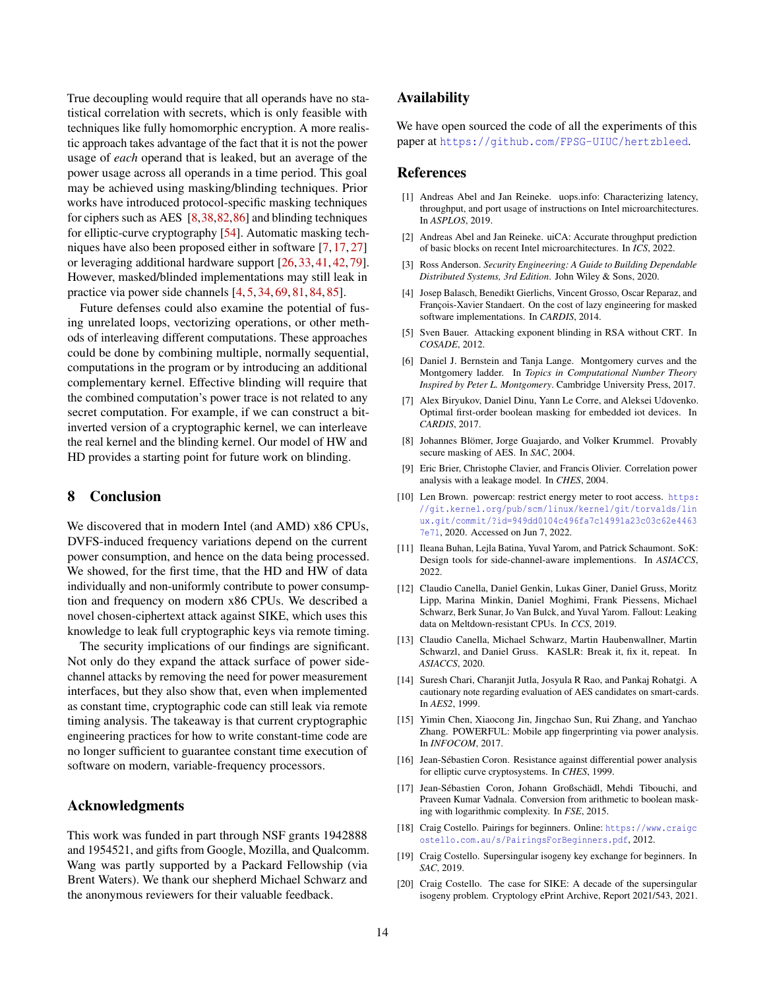True decoupling would require that all operands have no statistical correlation with secrets, which is only feasible with techniques like fully homomorphic encryption. A more realistic approach takes advantage of the fact that it is not the power usage of *each* operand that is leaked, but an average of the power usage across all operands in a time period. This goal may be achieved using masking/blinding techniques. Prior works have introduced protocol-specific masking techniques for ciphers such as AES [\[8,](#page-13-14)[38,](#page-14-33)[82,](#page-15-26)[86\]](#page-15-27) and blinding techniques for elliptic-curve cryptography [\[54\]](#page-14-34). Automatic masking techniques have also been proposed either in software [\[7,](#page-13-15) [17,](#page-13-16) [27\]](#page-14-35) or leveraging additional hardware support [\[26,](#page-14-36) [33,](#page-14-37) [41,](#page-14-38) [42,](#page-14-39) [79\]](#page-15-28). However, masked/blinded implementations may still leak in practice via power side channels [\[4,](#page-13-17) [5,](#page-13-18) [34,](#page-14-40) [69,](#page-15-29) [81,](#page-15-30) [84,](#page-15-31) [85\]](#page-15-32).

Future defenses could also examine the potential of fusing unrelated loops, vectorizing operations, or other methods of interleaving different computations. These approaches could be done by combining multiple, normally sequential, computations in the program or by introducing an additional complementary kernel. Effective blinding will require that the combined computation's power trace is not related to any secret computation. For example, if we can construct a bitinverted version of a cryptographic kernel, we can interleave the real kernel and the blinding kernel. Our model of HW and HD provides a starting point for future work on blinding.

# 8 Conclusion

We discovered that in modern Intel (and AMD) x86 CPUs, DVFS-induced frequency variations depend on the current power consumption, and hence on the data being processed. We showed, for the first time, that the HD and HW of data individually and non-uniformly contribute to power consumption and frequency on modern x86 CPUs. We described a novel chosen-ciphertext attack against SIKE, which uses this knowledge to leak full cryptographic keys via remote timing.

The security implications of our findings are significant. Not only do they expand the attack surface of power sidechannel attacks by removing the need for power measurement interfaces, but they also show that, even when implemented as constant time, cryptographic code can still leak via remote timing analysis. The takeaway is that current cryptographic engineering practices for how to write constant-time code are no longer sufficient to guarantee constant time execution of software on modern, variable-frequency processors.

### Acknowledgments

This work was funded in part through NSF grants 1942888 and 1954521, and gifts from Google, Mozilla, and Qualcomm. Wang was partly supported by a Packard Fellowship (via Brent Waters). We thank our shepherd Michael Schwarz and the anonymous reviewers for their valuable feedback.

# Availability

We have open sourced the code of all the experiments of this paper at <https://github.com/FPSG-UIUC/hertzbleed>.

### References

- <span id="page-13-8"></span>[1] Andreas Abel and Jan Reineke. uops.info: Characterizing latency, throughput, and port usage of instructions on Intel microarchitectures. In *ASPLOS*, 2019.
- <span id="page-13-9"></span>[2] Andreas Abel and Jan Reineke. uiCA: Accurate throughput prediction of basic blocks on recent Intel microarchitectures. In *ICS*, 2022.
- <span id="page-13-0"></span>[3] Ross Anderson. *Security Engineering: A Guide to Building Dependable Distributed Systems, 3rd Edition*. John Wiley & Sons, 2020.
- <span id="page-13-17"></span>[4] Josep Balasch, Benedikt Gierlichs, Vincent Grosso, Oscar Reparaz, and François-Xavier Standaert. On the cost of lazy engineering for masked software implementations. In *CARDIS*, 2014.
- <span id="page-13-18"></span>[5] Sven Bauer. Attacking exponent blinding in RSA without CRT. In *COSADE*, 2012.
- <span id="page-13-19"></span>[6] Daniel J. Bernstein and Tanja Lange. Montgomery curves and the Montgomery ladder. In *Topics in Computational Number Theory Inspired by Peter L. Montgomery*. Cambridge University Press, 2017.
- <span id="page-13-15"></span>[7] Alex Biryukov, Daniel Dinu, Yann Le Corre, and Aleksei Udovenko. Optimal first-order boolean masking for embedded iot devices. In *CARDIS*, 2017.
- <span id="page-13-14"></span>[8] Johannes Blömer, Jorge Guajardo, and Volker Krummel. Provably secure masking of AES. In *SAC*, 2004.
- <span id="page-13-4"></span>[9] Eric Brier, Christophe Clavier, and Francis Olivier. Correlation power analysis with a leakage model. In *CHES*, 2004.
- <span id="page-13-1"></span>[10] Len Brown. powercap: restrict energy meter to root access. [https:](https://git.kernel.org/pub/scm/linux/kernel/git/torvalds/linux.git/commit/?id=949dd0104c496fa7c14991a23c03c62e44637e71) [//git.kernel.org/pub/scm/linux/kernel/git/torvalds/lin](https://git.kernel.org/pub/scm/linux/kernel/git/torvalds/linux.git/commit/?id=949dd0104c496fa7c14991a23c03c62e44637e71) [ux.git/commit/?id=949dd0104c496fa7c14991a23c03c62e4463](https://git.kernel.org/pub/scm/linux/kernel/git/torvalds/linux.git/commit/?id=949dd0104c496fa7c14991a23c03c62e44637e71) [7e71](https://git.kernel.org/pub/scm/linux/kernel/git/torvalds/linux.git/commit/?id=949dd0104c496fa7c14991a23c03c62e44637e71), 2020. Accessed on Jun 7, 2022.
- <span id="page-13-2"></span>[11] Ileana Buhan, Lejla Batina, Yuval Yarom, and Patrick Schaumont. SoK: Design tools for side-channel-aware implementions. In *ASIACCS*, 2022.
- <span id="page-13-12"></span>[12] Claudio Canella, Daniel Genkin, Lukas Giner, Daniel Gruss, Moritz Lipp, Marina Minkin, Daniel Moghimi, Frank Piessens, Michael Schwarz, Berk Sunar, Jo Van Bulck, and Yuval Yarom. Fallout: Leaking data on Meltdown-resistant CPUs. In *CCS*, 2019.
- <span id="page-13-13"></span>[13] Claudio Canella, Michael Schwarz, Martin Haubenwallner, Martin Schwarzl, and Daniel Gruss. KASLR: Break it, fix it, repeat. In *ASIACCS*, 2020.
- <span id="page-13-5"></span>[14] Suresh Chari, Charanjit Jutla, Josyula R Rao, and Pankaj Rohatgi. A cautionary note regarding evaluation of AES candidates on smart-cards. In *AES2*, 1999.
- <span id="page-13-7"></span>[15] Yimin Chen, Xiaocong Jin, Jingchao Sun, Rui Zhang, and Yanchao Zhang. POWERFUL: Mobile app fingerprinting via power analysis. In *INFOCOM*, 2017.
- <span id="page-13-6"></span>[16] Jean-Sébastien Coron. Resistance against differential power analysis for elliptic curve cryptosystems. In *CHES*, 1999.
- <span id="page-13-16"></span>[17] Jean-Sébastien Coron, Johann Großschädl, Mehdi Tibouchi, and Praveen Kumar Vadnala. Conversion from arithmetic to boolean masking with logarithmic complexity. In *FSE*, 2015.
- <span id="page-13-10"></span>[18] Craig Costello. Pairings for beginners. Online: [https://www.craigc](https://www.craigcostello.com.au/s/PairingsForBeginners.pdf) [ostello.com.au/s/PairingsForBeginners.pdf](https://www.craigcostello.com.au/s/PairingsForBeginners.pdf), 2012.
- <span id="page-13-11"></span>[19] Craig Costello. Supersingular isogeny key exchange for beginners. In *SAC*, 2019.
- <span id="page-13-3"></span>[20] Craig Costello. The case for SIKE: A decade of the supersingular isogeny problem. Cryptology ePrint Archive, Report 2021/543, 2021.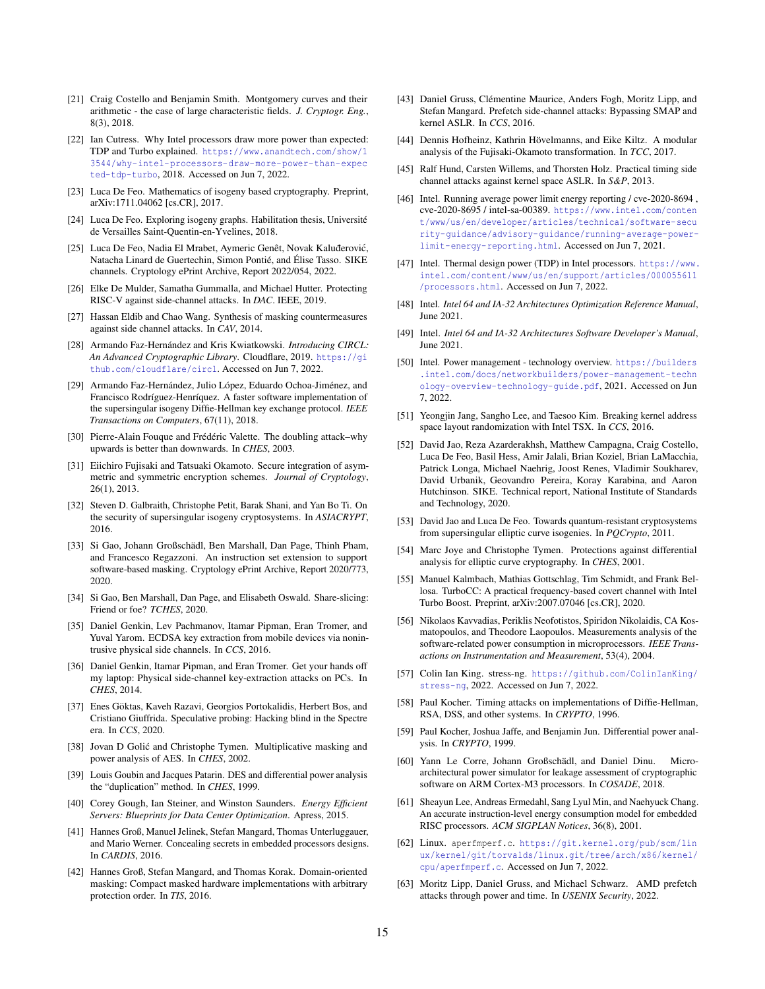- <span id="page-14-28"></span>[21] Craig Costello and Benjamin Smith. Montgomery curves and their arithmetic - the case of large characteristic fields. *J. Cryptogr. Eng.*, 8(3), 2018.
- <span id="page-14-9"></span>[22] Ian Cutress. Why Intel processors draw more power than expected: TDP and Turbo explained. [https://www.anandtech.com/show/1](https://www.anandtech.com/show/13544/why-intel-processors-draw-more-power-than-expected-tdp-turbo) [3544/why-intel-processors-draw-more-power-than-expec](https://www.anandtech.com/show/13544/why-intel-processors-draw-more-power-than-expected-tdp-turbo) [ted-tdp-turbo](https://www.anandtech.com/show/13544/why-intel-processors-draw-more-power-than-expected-tdp-turbo), 2018. Accessed on Jun 7, 2022.
- <span id="page-14-41"></span>[23] Luca De Feo. Mathematics of isogeny based cryptography. Preprint, arXiv:1711.04062 [cs.CR], 2017.
- <span id="page-14-42"></span>[24] Luca De Feo. Exploring isogeny graphs. Habilitation thesis, Université de Versailles Saint-Quentin-en-Yvelines, 2018.
- <span id="page-14-27"></span>[25] Luca De Feo, Nadia El Mrabet, Aymeric Genêt, Novak Kaluđerović, Natacha Linard de Guertechin, Simon Pontié, and Élise Tasso. SIKE channels. Cryptology ePrint Archive, Report 2022/054, 2022.
- <span id="page-14-36"></span>[26] Elke De Mulder, Samatha Gummalla, and Michael Hutter. Protecting RISC-V against side-channel attacks. In *DAC*. IEEE, 2019.
- <span id="page-14-35"></span>[27] Hassan Eldib and Chao Wang. Synthesis of masking countermeasures against side channel attacks. In *CAV*, 2014.
- <span id="page-14-6"></span>[28] Armando Faz-Hernández and Kris Kwiatkowski. *Introducing CIRCL: An Advanced Cryptographic Library*. Cloudflare, 2019. [https://gi](https://github.com/cloudflare/circl) [thub.com/cloudflare/circl](https://github.com/cloudflare/circl). Accessed on Jun 7, 2022.
- <span id="page-14-23"></span>[29] Armando Faz-Hernández, Julio López, Eduardo Ochoa-Jiménez, and Francisco Rodríguez-Henríquez. A faster software implementation of the supersingular isogeny Diffie-Hellman key exchange protocol. *IEEE Transactions on Computers*, 67(11), 2018.
- <span id="page-14-17"></span>[30] Pierre-Alain Fouque and Frédéric Valette. The doubling attack–why upwards is better than downwards. In *CHES*, 2003.
- <span id="page-14-24"></span>[31] Eiichiro Fujisaki and Tatsuaki Okamoto. Secure integration of asymmetric and symmetric encryption schemes. *Journal of Cryptology*, 26(1), 2013.
- <span id="page-14-26"></span>[32] Steven D. Galbraith, Christophe Petit, Barak Shani, and Yan Bo Ti. On the security of supersingular isogeny cryptosystems. In *ASIACRYPT*, 2016.
- <span id="page-14-37"></span>[33] Si Gao, Johann Großschädl, Ben Marshall, Dan Page, Thinh Pham, and Francesco Regazzoni. An instruction set extension to support software-based masking. Cryptology ePrint Archive, Report 2020/773, 2020.
- <span id="page-14-40"></span>[34] Si Gao, Ben Marshall, Dan Page, and Elisabeth Oswald. Share-slicing: Friend or foe? *TCHES*, 2020.
- <span id="page-14-18"></span>[35] Daniel Genkin, Lev Pachmanov, Itamar Pipman, Eran Tromer, and Yuval Yarom. ECDSA key extraction from mobile devices via nonintrusive physical side channels. In *CCS*, 2016.
- <span id="page-14-19"></span>[36] Daniel Genkin, Itamar Pipman, and Eran Tromer. Get your hands off my laptop: Physical side-channel key-extraction attacks on PCs. In *CHES*, 2014.
- <span id="page-14-29"></span>[37] Enes Göktas, Kaveh Razavi, Georgios Portokalidis, Herbert Bos, and Cristiano Giuffrida. Speculative probing: Hacking blind in the Spectre era. In *CCS*, 2020.
- <span id="page-14-33"></span>[38] Jovan D Golić and Christophe Tymen. Multiplicative masking and power analysis of AES. In *CHES*, 2002.
- <span id="page-14-0"></span>[39] Louis Goubin and Jacques Patarin. DES and differential power analysis the "duplication" method. In *CHES*, 1999.
- <span id="page-14-10"></span>[40] Corey Gough, Ian Steiner, and Winston Saunders. *Energy Efficient Servers: Blueprints for Data Center Optimization*. Apress, 2015.
- <span id="page-14-38"></span>[41] Hannes Groß, Manuel Jelinek, Stefan Mangard, Thomas Unterluggauer, and Mario Werner. Concealing secrets in embedded processors designs. In *CARDIS*, 2016.
- <span id="page-14-39"></span>[42] Hannes Groß, Stefan Mangard, and Thomas Korak. Domain-oriented masking: Compact masked hardware implementations with arbitrary protection order. In *TIS*, 2016.
- <span id="page-14-30"></span>[43] Daniel Gruss, Clémentine Maurice, Anders Fogh, Moritz Lipp, and Stefan Mangard. Prefetch side-channel attacks: Bypassing SMAP and kernel ASLR. In *CCS*, 2016.
- <span id="page-14-25"></span>[44] Dennis Hofheinz, Kathrin Hövelmanns, and Eike Kiltz. A modular analysis of the Fujisaki-Okamoto transformation. In *TCC*, 2017.
- <span id="page-14-31"></span>[45] Ralf Hund, Carsten Willems, and Thorsten Holz. Practical timing side channel attacks against kernel space ASLR. In *S&P*, 2013.
- <span id="page-14-12"></span>[46] Intel. Running average power limit energy reporting / cve-2020-8694, cve-2020-8695 / intel-sa-00389. [https://www.intel.com/conten](https://www.intel.com/content/www/us/en/developer/articles/technical/software-security-guidance/advisory-guidance/running-average-power-limit-energy-reporting.html) [t/www/us/en/developer/articles/technical/software-secu](https://www.intel.com/content/www/us/en/developer/articles/technical/software-security-guidance/advisory-guidance/running-average-power-limit-energy-reporting.html) [rity-guidance/advisory-guidance/running-average-power](https://www.intel.com/content/www/us/en/developer/articles/technical/software-security-guidance/advisory-guidance/running-average-power-limit-energy-reporting.html)[limit-energy-reporting.html](https://www.intel.com/content/www/us/en/developer/articles/technical/software-security-guidance/advisory-guidance/running-average-power-limit-energy-reporting.html). Accessed on Jun 7, 2021.
- <span id="page-14-11"></span>[47] Intel. Thermal design power (TDP) in Intel processors. [https://www.](https://www.intel.com/content/www/us/en/support/articles/000055611/processors.html) [intel.com/content/www/us/en/support/articles/000055611](https://www.intel.com/content/www/us/en/support/articles/000055611/processors.html) [/processors.html](https://www.intel.com/content/www/us/en/support/articles/000055611/processors.html). Accessed on Jun 7, 2022.
- <span id="page-14-15"></span>[48] Intel. *Intel 64 and IA-32 Architectures Optimization Reference Manual*, June 2021.
- <span id="page-14-7"></span>[49] Intel. *Intel 64 and IA-32 Architectures Software Developer's Manual*, June 2021.
- <span id="page-14-16"></span>[50] Intel. Power management - technology overview. [https://builders](https://builders.intel.com/docs/networkbuilders/power-management-technology-overview-technology-guide.pdf) [.intel.com/docs/networkbuilders/power-management-techn](https://builders.intel.com/docs/networkbuilders/power-management-technology-overview-technology-guide.pdf) [ology-overview-technology-guide.pdf](https://builders.intel.com/docs/networkbuilders/power-management-technology-overview-technology-guide.pdf), 2021. Accessed on Jun 7, 2022.
- <span id="page-14-32"></span>[51] Yeongjin Jang, Sangho Lee, and Taesoo Kim. Breaking kernel address space layout randomization with Intel TSX. In *CCS*, 2016.
- <span id="page-14-5"></span>[52] David Jao, Reza Azarderakhsh, Matthew Campagna, Craig Costello, Luca De Feo, Basil Hess, Amir Jalali, Brian Koziel, Brian LaMacchia, Patrick Longa, Michael Naehrig, Joost Renes, Vladimir Soukharev, David Urbanik, Geovandro Pereira, Koray Karabina, and Aaron Hutchinson. SIKE. Technical report, National Institute of Standards and Technology, 2020.
- <span id="page-14-22"></span>[53] David Jao and Luca De Feo. Towards quantum-resistant cryptosystems from supersingular elliptic curve isogenies. In *PQCrypto*, 2011.
- <span id="page-14-34"></span>[54] Marc Joye and Christophe Tymen. Protections against differential analysis for elliptic curve cryptography. In *CHES*, 2001.
- <span id="page-14-8"></span>[55] Manuel Kalmbach, Mathias Gottschlag, Tim Schmidt, and Frank Bellosa. TurboCC: A practical frequency-based covert channel with Intel Turbo Boost. Preprint, arXiv:2007.07046 [cs.CR], 2020.
- <span id="page-14-14"></span>[56] Nikolaos Kavvadias, Periklis Neofotistos, Spiridon Nikolaidis, CA Kosmatopoulos, and Theodore Laopoulos. Measurements analysis of the software-related power consumption in microprocessors. *IEEE Transactions on Instrumentation and Measurement*, 53(4), 2004.
- <span id="page-14-21"></span>[57] Colin Ian King. stress-ng. [https://github.com/ColinIanKing/](https://github.com/ColinIanKing/stress-ng) [stress-ng](https://github.com/ColinIanKing/stress-ng), 2022. Accessed on Jun 7, 2022.
- <span id="page-14-3"></span>[58] Paul Kocher. Timing attacks on implementations of Diffie-Hellman, RSA, DSS, and other systems. In *CRYPTO*, 1996.
- <span id="page-14-1"></span>[59] Paul Kocher, Joshua Jaffe, and Benjamin Jun. Differential power analysis. In *CRYPTO*, 1999.
- <span id="page-14-4"></span>[60] Yann Le Corre, Johann Großschädl, and Daniel Dinu. Microarchitectural power simulator for leakage assessment of cryptographic software on ARM Cortex-M3 processors. In *COSADE*, 2018.
- <span id="page-14-13"></span>[61] Sheayun Lee, Andreas Ermedahl, Sang Lyul Min, and Naehyuck Chang. An accurate instruction-level energy consumption model for embedded RISC processors. *ACM SIGPLAN Notices*, 36(8), 2001.
- <span id="page-14-20"></span>[62] Linux. aperfmperf.c. [https://git.kernel.org/pub/scm/lin](https://git.kernel.org/pub/scm/linux/kernel/git/torvalds/linux.git/tree/arch/x86/kernel/cpu/aperfmperf.c) [ux/kernel/git/torvalds/linux.git/tree/arch/x86/kernel/](https://git.kernel.org/pub/scm/linux/kernel/git/torvalds/linux.git/tree/arch/x86/kernel/cpu/aperfmperf.c) [cpu/aperfmperf.c](https://git.kernel.org/pub/scm/linux/kernel/git/torvalds/linux.git/tree/arch/x86/kernel/cpu/aperfmperf.c). Accessed on Jun 7, 2022.
- <span id="page-14-2"></span>[63] Moritz Lipp, Daniel Gruss, and Michael Schwarz. AMD prefetch attacks through power and time. In *USENIX Security*, 2022.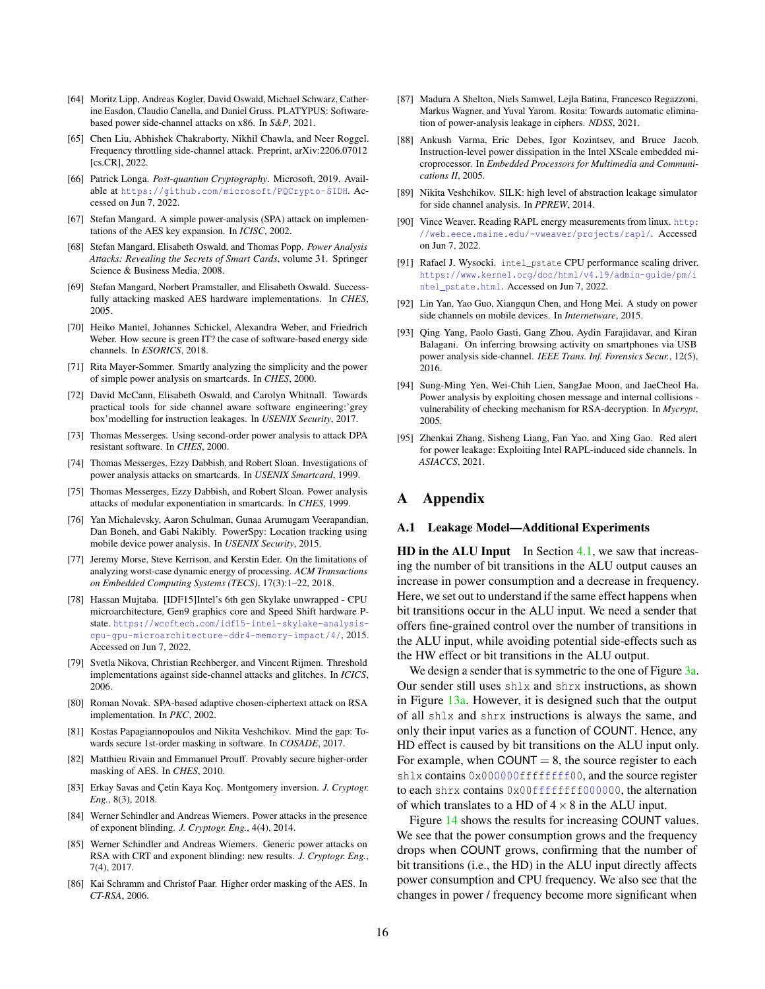- <span id="page-15-5"></span>[64] Moritz Lipp, Andreas Kogler, David Oswald, Michael Schwarz, Catherine Easdon, Claudio Canella, and Daniel Gruss. PLATYPUS: Softwarebased power side-channel attacks on x86. In *S&P*, 2021.
- <span id="page-15-25"></span>[65] Chen Liu, Abhishek Chakraborty, Nikhil Chawla, and Neer Roggel. Frequency throttling side-channel attack. Preprint, arXiv:2206.07012 [cs.CR], 2022.
- <span id="page-15-9"></span>[66] Patrick Longa. *Post-quantum Cryptography*. Microsoft, 2019. Available at <https://github.com/microsoft/PQCrypto-SIDH>. Accessed on Jun 7, 2022.
- <span id="page-15-14"></span>[67] Stefan Mangard. A simple power-analysis (SPA) attack on implementations of the AES key expansion. In *ICISC*, 2002.
- <span id="page-15-0"></span>[68] Stefan Mangard, Elisabeth Oswald, and Thomas Popp. *Power Analysis Attacks: Revealing the Secrets of Smart Cards*, volume 31. Springer Science & Business Media, 2008.
- <span id="page-15-29"></span>[69] Stefan Mangard, Norbert Pramstaller, and Elisabeth Oswald. Successfully attacking masked AES hardware implementations. In *CHES*, 2005.
- <span id="page-15-4"></span>[70] Heiko Mantel, Johannes Schickel, Alexandra Weber, and Friedrich Weber. How secure is green IT? the case of software-based energy side channels. In *ESORICS*, 2018.
- <span id="page-15-12"></span>[71] Rita Mayer-Sommer. Smartly analyzing the simplicity and the power of simple power analysis on smartcards. In *CHES*, 2000.
- <span id="page-15-6"></span>[72] David McCann, Elisabeth Oswald, and Carolyn Whitnall. Towards practical tools for side channel aware software engineering:'grey box'modelling for instruction leakages. In *USENIX Security*, 2017.
- <span id="page-15-15"></span>[73] Thomas Messerges. Using second-order power analysis to attack DPA resistant software. In *CHES*, 2000.
- <span id="page-15-1"></span>[74] Thomas Messerges, Ezzy Dabbish, and Robert Sloan. Investigations of power analysis attacks on smartcards. In *USENIX Smartcard*, 1999.
- <span id="page-15-2"></span>[75] Thomas Messerges, Ezzy Dabbish, and Robert Sloan. Power analysis attacks of modular exponentiation in smartcards. In *CHES*, 1999.
- <span id="page-15-19"></span>[76] Yan Michalevsky, Aaron Schulman, Gunaa Arumugam Veerapandian, Dan Boneh, and Gabi Nakibly. PowerSpy: Location tracking using mobile device power analysis. In *USENIX Security*, 2015.
- <span id="page-15-13"></span>[77] Jeremy Morse, Steve Kerrison, and Kerstin Eder. On the limitations of analyzing worst-case dynamic energy of processing. *ACM Transactions on Embedded Computing Systems (TECS)*, 17(3):1–22, 2018.
- <span id="page-15-10"></span>[78] Hassan Mujtaba. [IDF15]Intel's 6th gen Skylake unwrapped - CPU microarchitecture, Gen9 graphics core and Speed Shift hardware Pstate. [https://wccftech.com/idf15-intel-skylake-analysis](https://wccftech.com/idf15-intel-skylake-analysis-cpu-gpu-microarchitecture-ddr4-memory-impact/4/)[cpu-gpu-microarchitecture-ddr4-memory-impact/4/](https://wccftech.com/idf15-intel-skylake-analysis-cpu-gpu-microarchitecture-ddr4-memory-impact/4/), 2015. Accessed on Jun 7, 2022.
- <span id="page-15-28"></span>[79] Svetla Nikova, Christian Rechberger, and Vincent Rijmen. Threshold implementations against side-channel attacks and glitches. In *ICICS*, 2006.
- <span id="page-15-17"></span>[80] Roman Novak. SPA-based adaptive chosen-ciphertext attack on RSA implementation. In *PKC*, 2002.
- <span id="page-15-30"></span>[81] Kostas Papagiannopoulos and Nikita Veshchikov. Mind the gap: Towards secure 1st-order masking in software. In *COSADE*, 2017.
- <span id="page-15-26"></span>[82] Matthieu Rivain and Emmanuel Prouff. Provably secure higher-order masking of AES. In *CHES*, 2010.
- <span id="page-15-24"></span>[83] Erkay Savas and Çetin Kaya Koç. Montgomery inversion. *J. Cryptogr. Eng.*, 8(3), 2018.
- <span id="page-15-31"></span>[84] Werner Schindler and Andreas Wiemers. Power attacks in the presence of exponent blinding. *J. Cryptogr. Eng.*, 4(4), 2014.
- <span id="page-15-32"></span>[85] Werner Schindler and Andreas Wiemers. Generic power attacks on RSA with CRT and exponent blinding: new results. *J. Cryptogr. Eng.*, 7(4), 2017.
- <span id="page-15-27"></span>[86] Kai Schramm and Christof Paar. Higher order masking of the AES. In *CT-RSA*, 2006.
- <span id="page-15-7"></span>[87] Madura A Shelton, Niels Samwel, Lejla Batina, Francesco Regazzoni, Markus Wagner, and Yuval Yarom. Rosita: Towards automatic elimination of power-analysis leakage in ciphers. *NDSS*, 2021.
- <span id="page-15-16"></span>[88] Ankush Varma, Eric Debes, Igor Kozintsev, and Bruce Jacob. Instruction-level power dissipation in the Intel XScale embedded microprocessor. In *Embedded Processors for Multimedia and Communications II*, 2005.
- <span id="page-15-8"></span>[89] Nikita Veshchikov. SILK: high level of abstraction leakage simulator for side channel analysis. In *PPREW*, 2014.
- <span id="page-15-22"></span>[90] Vince Weaver. Reading RAPL energy measurements from linux. [http:](http://web.eece.maine.edu/~vweaver/projects/rapl/) [//web.eece.maine.edu/~vweaver/projects/rapl/](http://web.eece.maine.edu/~vweaver/projects/rapl/). Accessed on Jun 7, 2022.
- <span id="page-15-11"></span>[91] Rafael J. Wysocki. intel\_pstate CPU performance scaling driver. [https://www.kernel.org/doc/html/v4.19/admin-guide/pm/i](https://www.kernel.org/doc/html/v4.19/admin-guide/pm/intel_pstate.html) [ntel\\_pstate.html](https://www.kernel.org/doc/html/v4.19/admin-guide/pm/intel_pstate.html). Accessed on Jun 7, 2022.
- <span id="page-15-20"></span>[92] Lin Yan, Yao Guo, Xiangqun Chen, and Hong Mei. A study on power side channels on mobile devices. In *Internetware*, 2015.
- <span id="page-15-21"></span>[93] Qing Yang, Paolo Gasti, Gang Zhou, Aydin Farajidavar, and Kiran Balagani. On inferring browsing activity on smartphones via USB power analysis side-channel. *IEEE Trans. Inf. Forensics Secur.*, 12(5), 2016.
- <span id="page-15-18"></span>[94] Sung-Ming Yen, Wei-Chih Lien, SangJae Moon, and JaeCheol Ha. Power analysis by exploiting chosen message and internal collisions vulnerability of checking mechanism for RSA-decryption. In *Mycrypt*, 2005.
- <span id="page-15-3"></span>[95] Zhenkai Zhang, Sisheng Liang, Fan Yao, and Xing Gao. Red alert for power leakage: Exploiting Intel RAPL-induced side channels. In *ASIACCS*, 2021.

# A Appendix

#### <span id="page-15-23"></span>A.1 Leakage Model—Additional Experiments

HD in the ALU Input In Section  $4.1$ , we saw that increasing the number of bit transitions in the ALU output causes an increase in power consumption and a decrease in frequency. Here, we set out to understand if the same effect happens when bit transitions occur in the ALU input. We need a sender that offers fine-grained control over the number of transitions in the ALU input, while avoiding potential side-effects such as the HW effect or bit transitions in the ALU output.

We design a sender that is symmetric to the one of Figure [3a.](#page-4-0) Our sender still uses shlx and shrx instructions, as shown in Figure [13a.](#page-16-0) However, it is designed such that the output of all shlx and shrx instructions is always the same, and only their input varies as a function of COUNT. Hence, any HD effect is caused by bit transitions on the ALU input only. For example, when COUNT  $= 8$ , the source register to each shlx contains 0x000000ffffffff00, and the source register to each shrx contains  $0 \times 00$  ffffffff000000, the alternation of which translates to a HD of  $4 \times 8$  in the ALU input.

Figure [14](#page-16-1) shows the results for increasing COUNT values. We see that the power consumption grows and the frequency drops when COUNT grows, confirming that the number of bit transitions (i.e., the HD) in the ALU input directly affects power consumption and CPU frequency. We also see that the changes in power / frequency become more significant when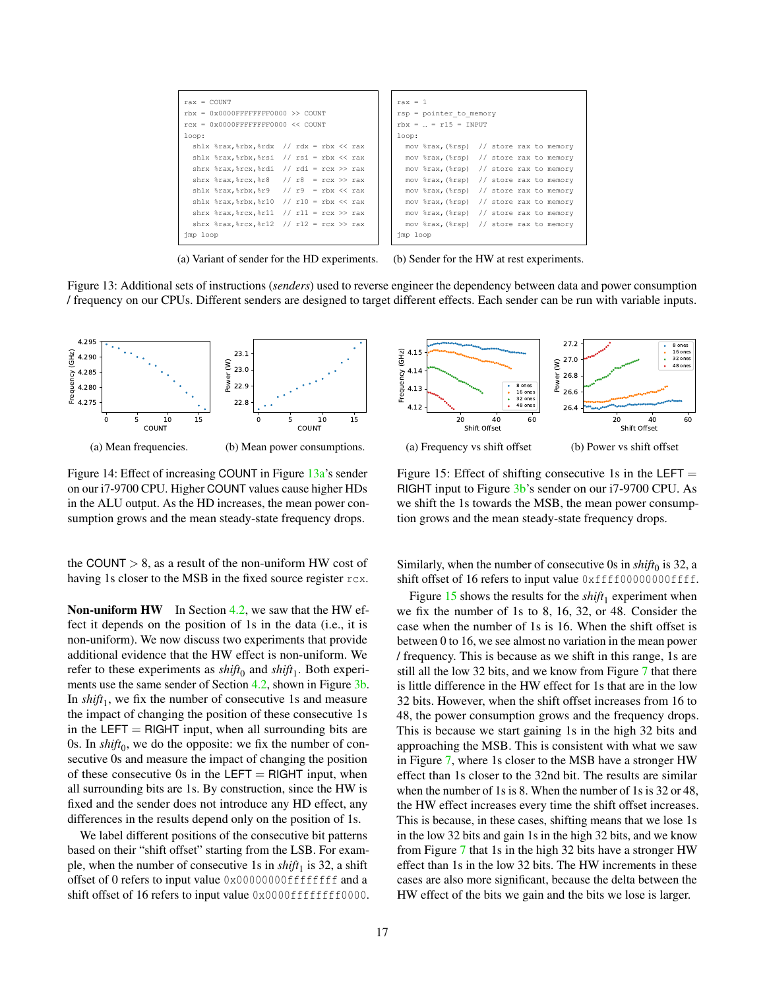<span id="page-16-0"></span>

| $rax = COTNT$                                                                               | $\text{max} = 1$                          |
|---------------------------------------------------------------------------------------------|-------------------------------------------|
| $rbx = 0x0000$ FFFFFFFFF0000 >> COUNT                                                       | $rsp = pointer to memory$                 |
| $rcx = 0x0000$ FFFFFFFFF0000 $<<$ COUNT                                                     | $rbx = 24 = r15 = INPIIT$                 |
| loop:                                                                                       | loop:                                     |
| shlx $\frac{1}{2}$ rax, $\frac{1}{2}$ rbx, $\frac{1}{2}$ rdx // rdx = rbx << rax            | mov %rax, (%rsp) // store rax to memory   |
| shlx $\frac{1}{2}$ rax, $\frac{1}{2}$ rbx, $\frac{1}{2}$ rsi = rbx << rax                   | mov \\stax, (\\sp) // store rax to memory |
| shrx $\frac{1}{2}$ rax, $\frac{1}{2}$ rcx, $\frac{1}{2}$ rdi // rdi = rcx >> rax            | mov \\stax, (\\sp) // store rax to memory |
| shrx $\frac{2}{3}$ rax, $\frac{2}{3}$ rcx, $\frac{2}{3}$ r8 // r8 = rcx >> rax              | mov \\sax, (\\sp) // store rax to memory  |
| shlx $\frac{1}{2}$ rax, $\frac{1}{2}$ rbx, $\frac{1}{2}$ // r9 = rbx << rax                 | mov \\sax, (\\sp) // store rax to memory  |
| shlx $\text{max}.\text{b}$ rbx, $\text{r10}$ // $\text{r10}$ = $\text{rbx}$ << $\text{rax}$ | mov \\stax, (\\sp) // store rax to memory |
| shrx $\text{max}.\text{r}x.*r11$ // $r11 = rcx \gg rax$                                     | mov \\stax, (\\sp) // store rax to memory |
| shrx $\frac{1}{2}$ rax, $\frac{1}{2}$ // r12 = rcx >> rax                                   | mov \\stax, (\\sp) // store rax to memory |
| imp loop                                                                                    | imp loop                                  |

(a) Variant of sender for the HD experiments. (b) Sender for the HW at rest experiments.

Figure 13: Additional sets of instructions (*senders*) used to reverse engineer the dependency between data and power consumption / frequency on our CPUs. Different senders are designed to target different effects. Each sender can be run with variable inputs.

<span id="page-16-1"></span>

Figure 14: Effect of increasing COUNT in Figure [13a'](#page-16-0)s sender on our i7-9700 CPU. Higher COUNT values cause higher HDs in the ALU output. As the HD increases, the mean power consumption grows and the mean steady-state frequency drops.

the COUNT  $> 8$ , as a result of the non-uniform HW cost of having 1s closer to the MSB in the fixed source register rcx.

Non-uniform HW In Section [4.2,](#page-4-4) we saw that the HW effect it depends on the position of 1s in the data (i.e., it is non-uniform). We now discuss two experiments that provide additional evidence that the HW effect is non-uniform. We refer to these experiments as  $\text{shift}_0$  and  $\text{shift}_1$ . Both experi-ments use the same sender of Section [4.2,](#page-4-4) shown in Figure [3b.](#page-4-0) In  $\text{shift}_1$ , we fix the number of consecutive 1s and measure the impact of changing the position of these consecutive 1s in the LEFT  $=$  RIGHT input, when all surrounding bits are 0s. In  $\text{shift}_0$ , we do the opposite: we fix the number of consecutive 0s and measure the impact of changing the position of these consecutive 0s in the LEFT  $=$  RIGHT input, when all surrounding bits are 1s. By construction, since the HW is fixed and the sender does not introduce any HD effect, any differences in the results depend only on the position of 1s.

We label different positions of the consecutive bit patterns based on their "shift offset" starting from the LSB. For example, when the number of consecutive 1s in  $\textit{shift}_1$  is 32, a shift offset of 0 refers to input value 0x00000000ffffffff and a shift offset of 16 refers to input value 0x0000ffffffff0000.

<span id="page-16-2"></span>

Figure 15: Effect of shifting consecutive 1s in the LEFT  $=$ RIGHT input to Figure [3b'](#page-4-0)s sender on our i7-9700 CPU. As we shift the 1s towards the MSB, the mean power consumption grows and the mean steady-state frequency drops.

Similarly, when the number of consecutive 0s in  $\text{shift}_0$  is 32, a shift offset of 16 refers to input value  $0xfff00000000ffff$ .

Figure  $15$  shows the results for the *shift*<sub>1</sub> experiment when we fix the number of 1s to 8, 16, 32, or 48. Consider the case when the number of 1s is 16. When the shift offset is between 0 to 16, we see almost no variation in the mean power / frequency. This is because as we shift in this range, 1s are still all the low 32 bits, and we know from Figure [7](#page-5-2) that there is little difference in the HW effect for 1s that are in the low 32 bits. However, when the shift offset increases from 16 to 48, the power consumption grows and the frequency drops. This is because we start gaining 1s in the high 32 bits and approaching the MSB. This is consistent with what we saw in Figure [7,](#page-5-2) where 1s closer to the MSB have a stronger HW effect than 1s closer to the 32nd bit. The results are similar when the number of 1s is 8. When the number of 1s is 32 or 48, the HW effect increases every time the shift offset increases. This is because, in these cases, shifting means that we lose 1s in the low 32 bits and gain 1s in the high 32 bits, and we know from Figure [7](#page-5-2) that 1s in the high 32 bits have a stronger HW effect than 1s in the low 32 bits. The HW increments in these cases are also more significant, because the delta between the HW effect of the bits we gain and the bits we lose is larger.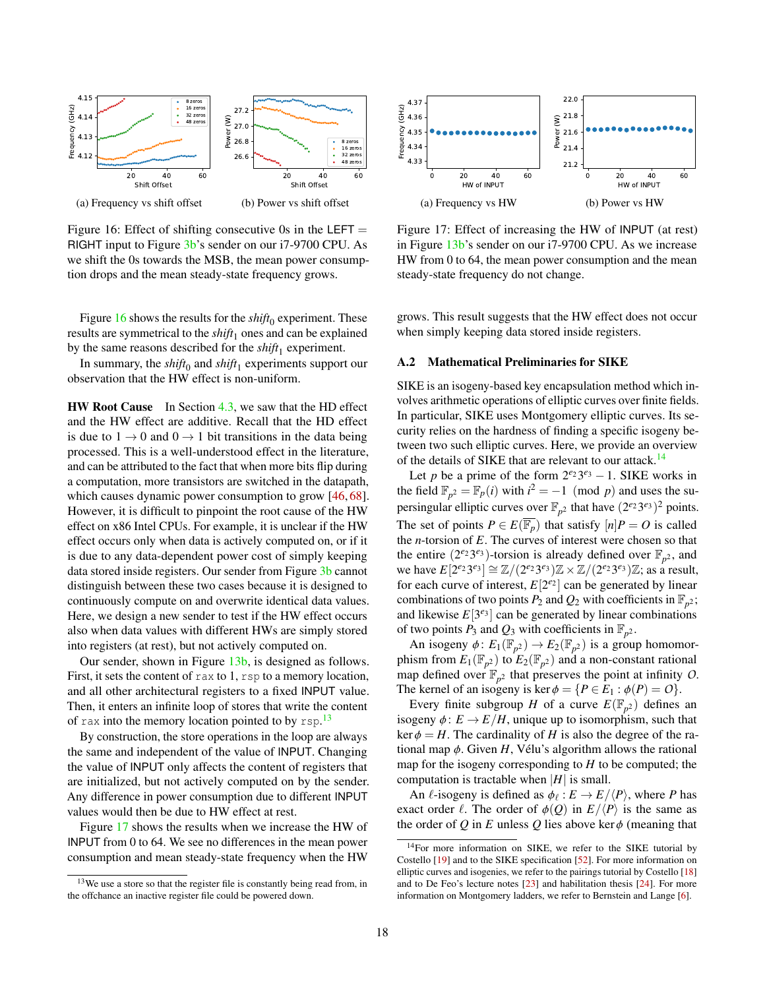<span id="page-17-1"></span>

Figure 16: Effect of shifting consecutive 0s in the LEFT  $=$ RIGHT input to Figure [3b'](#page-4-0)s sender on our i7-9700 CPU. As we shift the 0s towards the MSB, the mean power consumption drops and the mean steady-state frequency grows.

Figure  $16$  shows the results for the  $\textit{shift}_0$  experiment. These results are symmetrical to the  $\text{shift}_1$  ones and can be explained by the same reasons described for the *shift*<sup>1</sup> experiment.

In summary, the *shift*<sup>0</sup> and *shift*<sup>1</sup> experiments support our observation that the HW effect is non-uniform.

**HW Root Cause** In Section  $4.3$ , we saw that the HD effect and the HW effect are additive. Recall that the HD effect is due to  $1 \rightarrow 0$  and  $0 \rightarrow 1$  bit transitions in the data being processed. This is a well-understood effect in the literature, and can be attributed to the fact that when more bits flip during a computation, more transistors are switched in the datapath, which causes dynamic power consumption to grow [\[46,](#page-14-12) [68\]](#page-15-0). However, it is difficult to pinpoint the root cause of the HW effect on x86 Intel CPUs. For example, it is unclear if the HW effect occurs only when data is actively computed on, or if it is due to any data-dependent power cost of simply keeping data stored inside registers. Our sender from Figure [3b](#page-4-0) cannot distinguish between these two cases because it is designed to continuously compute on and overwrite identical data values. Here, we design a new sender to test if the HW effect occurs also when data values with different HWs are simply stored into registers (at rest), but not actively computed on.

Our sender, shown in Figure [13b,](#page-16-0) is designed as follows. First, it sets the content of rax to 1, rsp to a memory location, and all other architectural registers to a fixed INPUT value. Then, it enters an infinite loop of stores that write the content of rax into the memory location pointed to by  $rsp.$ <sup>[13](#page-17-2)</sup>

By construction, the store operations in the loop are always the same and independent of the value of INPUT. Changing the value of INPUT only affects the content of registers that are initialized, but not actively computed on by the sender. Any difference in power consumption due to different INPUT values would then be due to HW effect at rest.

Figure [17](#page-17-3) shows the results when we increase the HW of INPUT from 0 to 64. We see no differences in the mean power consumption and mean steady-state frequency when the HW

<span id="page-17-3"></span>

Figure 17: Effect of increasing the HW of INPUT (at rest) in Figure [13b'](#page-16-0)s sender on our i7-9700 CPU. As we increase HW from 0 to 64, the mean power consumption and the mean steady-state frequency do not change.

grows. This result suggests that the HW effect does not occur when simply keeping data stored inside registers.

#### <span id="page-17-0"></span>A.2 Mathematical Preliminaries for SIKE

SIKE is an isogeny-based key encapsulation method which involves arithmetic operations of elliptic curves over finite fields. In particular, SIKE uses Montgomery elliptic curves. Its security relies on the hardness of finding a specific isogeny between two such elliptic curves. Here, we provide an overview of the details of SIKE that are relevant to our attack.<sup>[14](#page-17-4)</sup>

Let *p* be a prime of the form  $2^{e_2}3^{e_3} - 1$ . SIKE works in the field  $\mathbb{F}_{p^2} = \mathbb{F}_p(i)$  with  $i^2 = -1 \pmod{p}$  and uses the supersingular elliptic curves over  $\mathbb{F}_{p^2}$  that have  $(2^{e_2}3^{e_3})^2$  points. The set of points  $P \in E(\overline{\mathbb{F}_p})$  that satisfy  $[n]P = O$  is called the *n*-torsion of *E*. The curves of interest were chosen so that the entire  $(2^{e_2}3^{e_3})$ -torsion is already defined over  $\mathbb{F}_{p^2}$ , and we have  $E[2^{e_2}3^{e_3}] \cong \mathbb{Z}/(2^{e_2}3^{e_3})\mathbb{Z} \times \mathbb{Z}/(2^{e_2}3^{e_3})\mathbb{Z}$ ; as a result, for each curve of interest,  $E[2^{e_2}]$  can be generated by linear combinations of two points  $P_2$  and  $Q_2$  with coefficients in  $\mathbb{F}_{p^2}$ ; and likewise  $E[3^{e_3}]$  can be generated by linear combinations of two points  $P_3$  and  $Q_3$  with coefficients in  $\mathbb{F}_{p^2}$ .

An isogeny  $\phi: E_1(\mathbb{F}_{p^2}) \to E_2(\mathbb{F}_{p^2})$  is a group homomorphism from  $E_1(\mathbb{F}_{p^2})$  to  $E_2(\mathbb{F}_{p^2})$  and a non-constant rational map defined over  $\mathbb{F}_{p^2}$  that preserves the point at infinity *O*. The kernel of an isogeny is ker  $\phi = \{P \in E_1 : \phi(P) = O\}.$ 

Every finite subgroup *H* of a curve  $E(\mathbb{F}_{p^2})$  defines an isogeny  $\phi: E \to E/H$ , unique up to isomorphism, such that  $\ker \phi = H$ . The cardinality of *H* is also the degree of the rational map  $\phi$ . Given *H*, Vélu's algorithm allows the rational map for the isogeny corresponding to *H* to be computed; the computation is tractable when  $|H|$  is small.

An  $\ell$ -isogeny is defined as  $\phi_{\ell}: E \to E/\langle P \rangle$ , where *P* has exact order  $\ell$ . The order of  $\phi(Q)$  in  $E/\langle P \rangle$  is the same as the order of  $Q$  in  $E$  unless  $Q$  lies above ker $\phi$  (meaning that

<span id="page-17-2"></span> $13$ We use a store so that the register file is constantly being read from, in the offchance an inactive register file could be powered down.

<span id="page-17-4"></span><sup>&</sup>lt;sup>14</sup>For more information on SIKE, we refer to the SIKE tutorial by Costello [\[19\]](#page-13-11) and to the SIKE specification [\[52\]](#page-14-5). For more information on elliptic curves and isogenies, we refer to the pairings tutorial by Costello [\[18\]](#page-13-10) and to De Feo's lecture notes [\[23\]](#page-14-41) and habilitation thesis [\[24\]](#page-14-42). For more information on Montgomery ladders, we refer to Bernstein and Lange [\[6\]](#page-13-19).